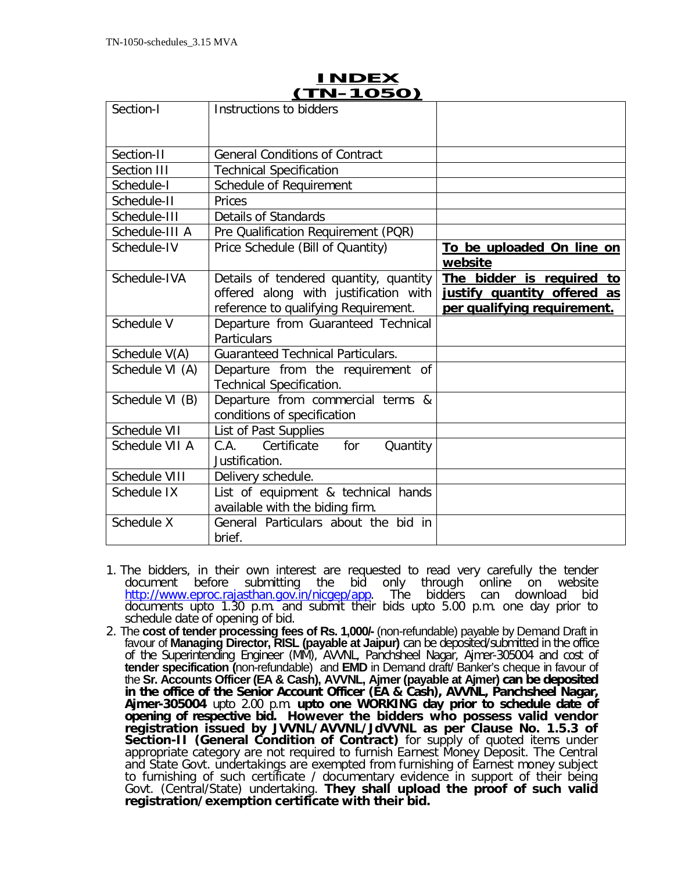| Section-I       | Instructions to bidders                                                                                                 |                                                                                         |
|-----------------|-------------------------------------------------------------------------------------------------------------------------|-----------------------------------------------------------------------------------------|
| Section-II      | <b>General Conditions of Contract</b>                                                                                   |                                                                                         |
| Section III     | <b>Technical Specification</b>                                                                                          |                                                                                         |
| Schedule-I      | Schedule of Requirement                                                                                                 |                                                                                         |
| Schedule-II     | Prices                                                                                                                  |                                                                                         |
| Schedule-III    | <b>Details of Standards</b>                                                                                             |                                                                                         |
| Schedule-III A  | Pre Qualification Requirement (PQR)                                                                                     |                                                                                         |
| Schedule-IV     | Price Schedule (Bill of Quantity)                                                                                       | To be uploaded On line on<br>website                                                    |
| Schedule-IVA    | Details of tendered quantity, quantity<br>offered along with justification with<br>reference to qualifying Requirement. | The bidder is required to<br>justify quantity offered as<br>per qualifying requirement. |
| Schedule V      | Departure from Guaranteed Technical<br>Particulars                                                                      |                                                                                         |
| Schedule V(A)   | <b>Guaranteed Technical Particulars.</b>                                                                                |                                                                                         |
| Schedule VI (A) | Departure from the requirement of<br>Technical Specification.                                                           |                                                                                         |
| Schedule VI (B) | Departure from commercial terms &<br>conditions of specification                                                        |                                                                                         |
| Schedule VII    | List of Past Supplies                                                                                                   |                                                                                         |
| Schedule VII A  | C.A.<br>Certificate<br>for<br>Quantity<br>Justification.                                                                |                                                                                         |
| Schedule VIII   | Delivery schedule.                                                                                                      |                                                                                         |
| Schedule IX     | List of equipment & technical hands<br>available with the biding firm.                                                  |                                                                                         |
| Schedule X      | General Particulars about the bid in<br>brief.                                                                          |                                                                                         |

## **INDEX (TN-1050)**

- 1. The bidders, in their own interest are requested to read very carefully the tender<br>document before submitting the bid only through online on website document before submitting the bid only through online on we<br>http://www.eproc.rajasthan.gov.in/nicgep/app. The bidders can download http://www.eproc.rajasthan.gov.in/nicgep/app. The bidders can download bid documents upto 1.30 p.m. and submit their bids upto 5.00 p.m. one day prior to schedule date of opening of bid.
- 2. The **cost of tender processing fees of Rs. 1,000/-** (non-refundable) payable by Demand Draft in favour of **Managing Director, RISL (payable at Jaipur)** can be deposited/submitted in the office of the Superintending Engineer (MM), AVVNL, Panchsheel Nagar, Ajmer-305004 and cost of **tender specification (**non-refundable) and **EMD** in Demand draft/ Banker's cheque in favour of the **Sr. Accounts Officer (EA & Cash), AVVNL, Ajmer (payable at Ajmer) can be deposited in the office of the Senior Account Officer (EA & Cash), AVVNL, Panchsheel Nagar, Ajmer-305004** upto 2.00 p.m. **upto one WORKING day prior to schedule date of opening of respective bid. However the bidders who possess valid vendor registration issued by JVVNL/AVVNL/JdVVNL as per Clause No. 1.5.3 of Section-II (General Condition of Contract)** for supply of quoted items under appropriate category are not required to furnish Earnest Money Deposit. The Central and State Govt. undertakings are exempted from furnishing of Earnest money subject to furnishing of such certificate / documentary evidence in support of their being Govt. (Central/State) undertaking. **They shall upload the proof of such valid registration/exemption certificate with their bid.**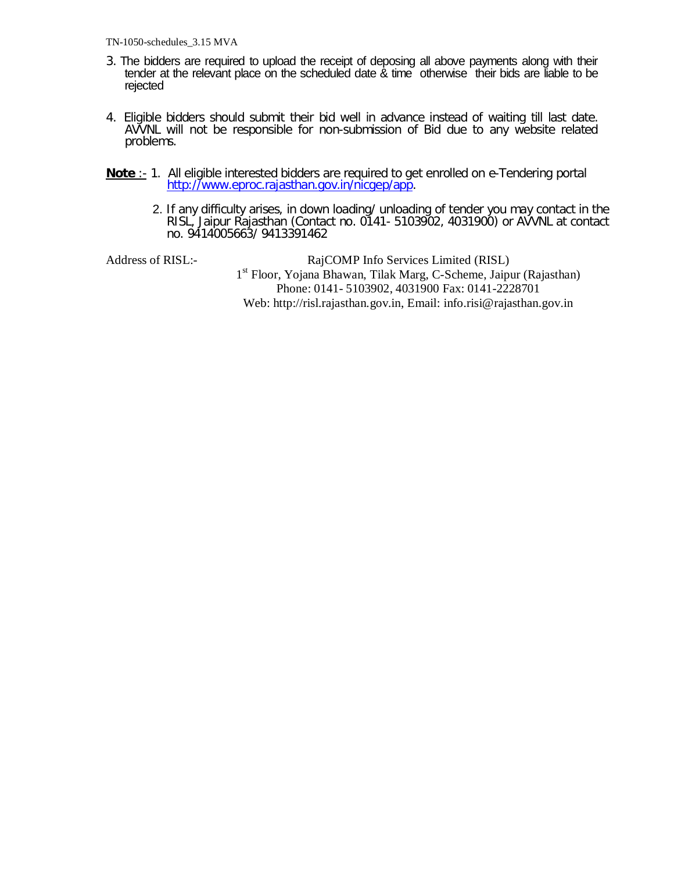- 3. The bidders are required to upload the receipt of deposing all above payments along with their tender at the relevant place on the scheduled date & time otherwise their bids are liable to be rejected
- 4. Eligible bidders should submit their bid well in advance instead of waiting till last date. AVVNL will not be responsible for non-submission of Bid due to any website related problems.
- **Note** :- 1. All eligible interested bidders are required to get enrolled on e-Tendering portal http://www.eproc.rajasthan.gov.in/nicgep/app.
	- 2. If any difficulty arises, in down loading/ unloading of tender you may contact in the RISL, Jaipur Rajasthan (Contact no. 0141- 5103902, 4031900) or AVVNL at contact no. 9414005663/ 9413391462

Address of RISL:- RajCOMP Info Services Limited (RISL) 1<sup>st</sup> Floor, Yojana Bhawan, Tilak Marg, C-Scheme, Jaipur (Rajasthan) Phone: 0141- 5103902, 4031900 Fax: 0141-2228701 Web: http://risl.rajasthan.gov.in, Email: info.risi@rajasthan.gov.in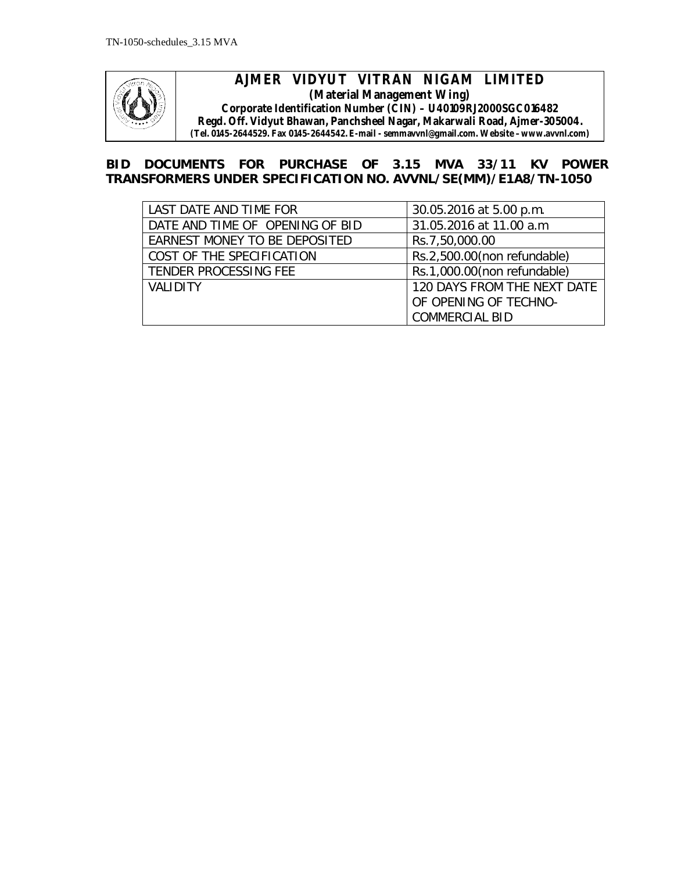

### **AJMER VIDYUT VITRAN NIGAM LIMITED (Material Management Wing) Corporate Identification Number (CIN) – U40109RJ2000SGC016482 Regd. Off. Vidyut Bhawan, Panchsheel Nagar, Makarwali Road, Ajmer-305004. (Tel. 0145-2644529. Fax 0145-2644542. E-mail - semmavvnl@gmail.com. Website –www.avvnl.com)**

## **BID DOCUMENTS FOR PURCHASE OF 3.15 MVA 33/11 KV POWER TRANSFORMERS UNDER SPECIFICATION NO. AVVNL/SE(MM)/E1A8/TN-1050**

| LAST DATE AND TIME FOR          | 30.05.2016 at 5.00 p.m.     |
|---------------------------------|-----------------------------|
| DATE AND TIME OF OPENING OF BID | 31.05.2016 at 11.00 a.m     |
| EARNEST MONEY TO BE DEPOSITED   | Rs.7,50,000.00              |
| COST OF THE SPECIFICATION       | Rs.2,500.00(non refundable) |
| TENDER PROCESSING FEE           | Rs.1,000.00(non refundable) |
| <b>VALIDITY</b>                 | 120 DAYS FROM THE NEXT DATE |
|                                 | OF OPENING OF TECHNO-       |
|                                 | <b>COMMERCIAL BID</b>       |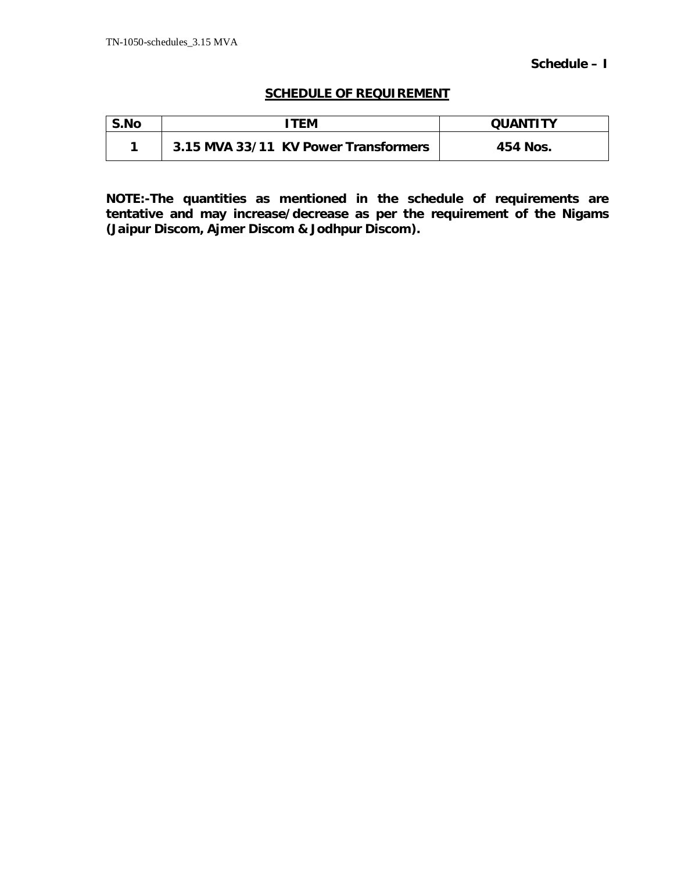### **SCHEDULE OF REQUIREMENT**

| S.No | <b>ITEM</b>                          | <b>OUANTITY</b> |
|------|--------------------------------------|-----------------|
|      | 3.15 MVA 33/11 KV Power Transformers | 454 Nos.        |

**NOTE:-The quantities as mentioned in the schedule of requirements are tentative and may increase/decrease as per the requirement of the Nigams (Jaipur Discom, Ajmer Discom & Jodhpur Discom).**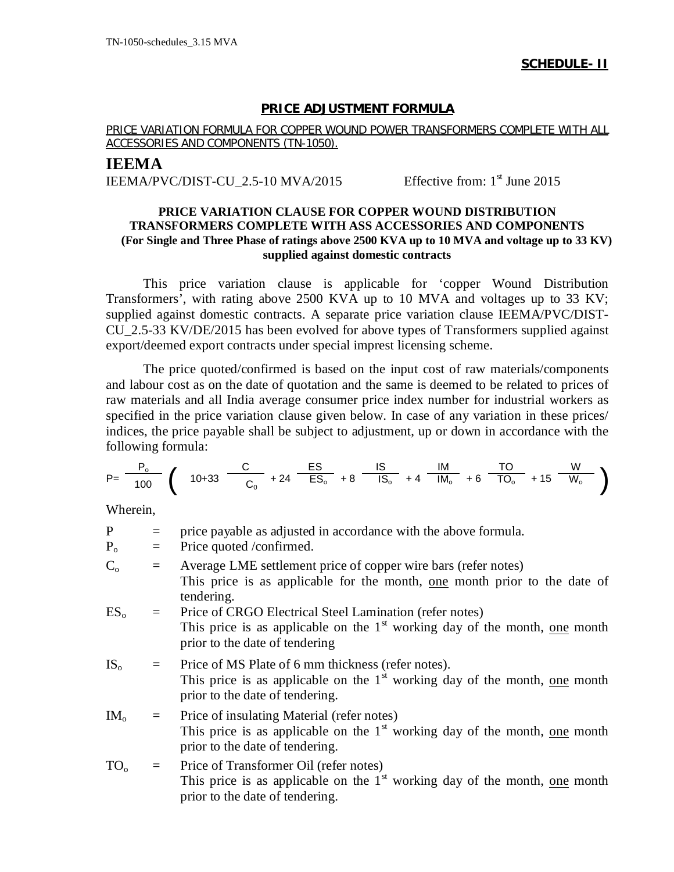### **PRICE ADJUSTMENT FORMULA**

### PRICE VARIATION FORMULA FOR COPPER WOUND POWER TRANSFORMERS COMPLETE WITH ALL ACCESSORIES AND COMPONENTS (TN-1050).

## **IEEMA** IEEMA/PVC/DIST-CU\_2.5-10 MVA/2015 Effective from:  $1<sup>st</sup>$  June 2015

### **PRICE VARIATION CLAUSE FOR COPPER WOUND DISTRIBUTION TRANSFORMERS COMPLETE WITH ASS ACCESSORIES AND COMPONENTS (For Single and Three Phase of ratings above 2500 KVA up to 10 MVA and voltage up to 33 KV) supplied against domestic contracts**

This price variation clause is applicable for 'copper Wound Distribution Transformers', with rating above 2500 KVA up to 10 MVA and voltages up to 33 KV; supplied against domestic contracts. A separate price variation clause IEEMA/PVC/DIST-CU\_2.5-33 KV/DE/2015 has been evolved for above types of Transformers supplied against export/deemed export contracts under special imprest licensing scheme.

The price quoted/confirmed is based on the input cost of raw materials/components and labour cost as on the date of quotation and the same is deemed to be related to prices of raw materials and all India average consumer price index number for industrial workers as specified in the price variation clause given below. In case of any variation in these prices/ indices, the price payable shall be subject to adjustment, up or down in accordance with the following formula:

$$
P = \frac{P_o}{100} \left( 10 + 33 \frac{C}{C_o} + 24 \frac{ES}{ES_o} + 8 \frac{IS}{IS_o} + 4 \frac{IM}{IM_o} + 6 \frac{TO}{TO_o} + 15 \frac{W}{W_o} \right)
$$

Wherein,

| $\mathbf{P}$    | $=$ | price payable as adjusted in accordance with the above formula.                                                                                                              |
|-----------------|-----|------------------------------------------------------------------------------------------------------------------------------------------------------------------------------|
| $P_{o}$         | $=$ | Price quoted /confirmed.                                                                                                                                                     |
| $C_{\alpha}$    | $=$ | Average LME settlement price of copper wire bars (refer notes)<br>This price is as applicable for the month, one month prior to the date of<br>tendering.                    |
| $ES_{0}$        | $=$ | Price of CRGO Electrical Steel Lamination (refer notes)<br>This price is as applicable on the $1st$ working day of the month, one month<br>prior to the date of tendering    |
| $IS_{0}$        | $=$ | Price of MS Plate of 6 mm thickness (refer notes).<br>This price is as applicable on the $1st$ working day of the month, <u>one</u> month<br>prior to the date of tendering. |
| $IM_{\alpha}$   | $=$ | Price of insulating Material (refer notes)<br>This price is as applicable on the $1st$ working day of the month, one month<br>prior to the date of tendering.                |
| TO <sub>o</sub> |     | Price of Transformer Oil (refer notes)<br>This price is as applicable on the $1st$ working day of the month, one month                                                       |

prior to the date of tendering.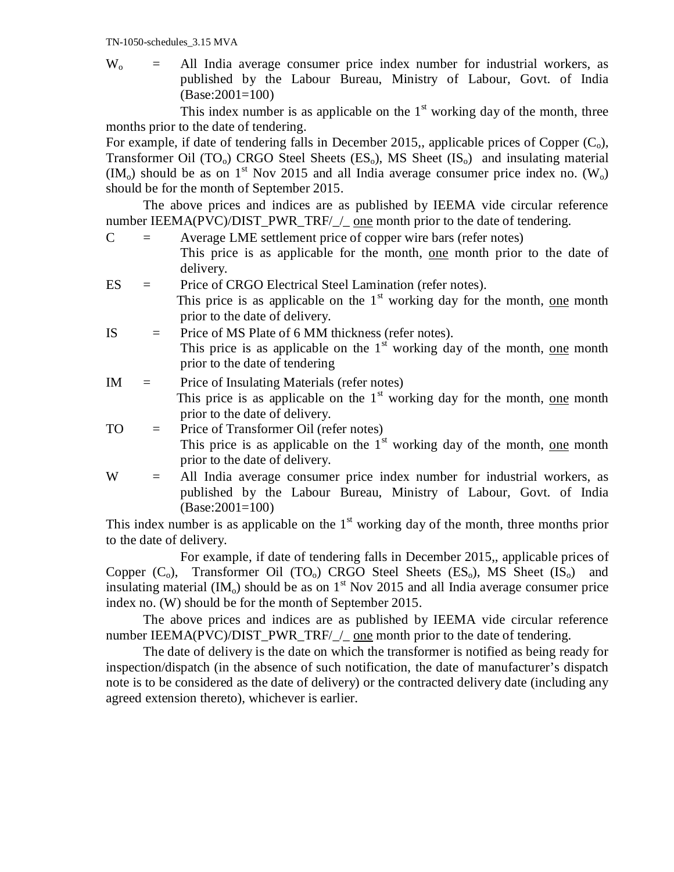$W_0$  = All India average consumer price index number for industrial workers, as published by the Labour Bureau, Ministry of Labour, Govt. of India (Base:2001=100)

This index number is as applicable on the  $1<sup>st</sup>$  working day of the month, three months prior to the date of tendering.

For example, if date of tendering falls in December 2015,, applicable prices of Copper  $(C_0)$ , Transformer Oil  $(TO_0)$  CRGO Steel Sheets  $(ES_0)$ , MS Sheet  $(IS_0)$  and insulating material  $(IM<sub>o</sub>)$  should be as on 1<sup>st</sup> Nov 2015 and all India average consumer price index no.  $(W<sub>o</sub>)$ should be for the month of September 2015.

The above prices and indices are as published by IEEMA vide circular reference number IEEMA(PVC)/DIST\_PWR\_TRF/\_/\_ one month prior to the date of tendering.

 $C =$  Average LME settlement price of copper wire bars (refer notes)

 This price is as applicable for the month, one month prior to the date of delivery.

- ES = Price of CRGO Electrical Steel Lamination (refer notes). This price is as applicable on the  $1<sup>st</sup>$  working day for the month, one month prior to the date of delivery.
- IS = Price of MS Plate of 6 MM thickness (refer notes). This price is as applicable on the  $1<sup>st</sup>$  working day of the month, one month prior to the date of tendering
- $IM =$  Price of Insulating Materials (refer notes) This price is as applicable on the  $1<sup>st</sup>$  working day for the month, one month prior to the date of delivery.
- TO = Price of Transformer Oil (refer notes) This price is as applicable on the  $1<sup>st</sup>$  working day of the month, one month prior to the date of delivery.

W = All India average consumer price index number for industrial workers, as published by the Labour Bureau, Ministry of Labour, Govt. of India (Base:2001=100)

This index number is as applicable on the  $1<sup>st</sup>$  working day of the month, three months prior to the date of delivery.

For example, if date of tendering falls in December 2015,, applicable prices of Copper  $(C_0)$ , Transformer Oil  $(TO_0)$  CRGO Steel Sheets  $(ES_0)$ , MS Sheet  $(IS_0)$  and insulating material (IM<sub>o</sub>) should be as on  $1<sup>st</sup>$  Nov 2015 and all India average consumer price index no. (W) should be for the month of September 2015.

The above prices and indices are as published by IEEMA vide circular reference number IEEMA(PVC)/DIST\_PWR\_TRF/\_/\_ one month prior to the date of tendering.

The date of delivery is the date on which the transformer is notified as being ready for inspection/dispatch (in the absence of such notification, the date of manufacturer's dispatch note is to be considered as the date of delivery) or the contracted delivery date (including any agreed extension thereto), whichever is earlier.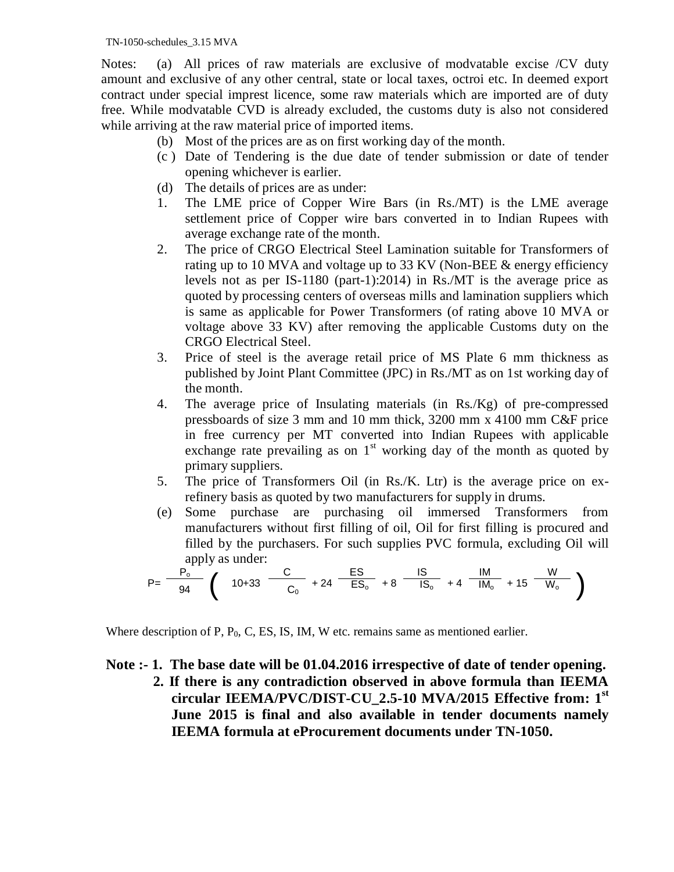TN-1050-schedules\_3.15 MVA

Notes: (a) All prices of raw materials are exclusive of modvatable excise /CV duty amount and exclusive of any other central, state or local taxes, octroi etc. In deemed export contract under special imprest licence, some raw materials which are imported are of duty free. While modvatable CVD is already excluded, the customs duty is also not considered while arriving at the raw material price of imported items.

- (b) Most of the prices are as on first working day of the month.
- (c ) Date of Tendering is the due date of tender submission or date of tender opening whichever is earlier.
- (d) The details of prices are as under:
- 1. The LME price of Copper Wire Bars (in Rs./MT) is the LME average settlement price of Copper wire bars converted in to Indian Rupees with average exchange rate of the month.
- 2. The price of CRGO Electrical Steel Lamination suitable for Transformers of rating up to 10 MVA and voltage up to 33 KV (Non-BEE & energy efficiency levels not as per IS-1180 (part-1):2014) in Rs./MT is the average price as quoted by processing centers of overseas mills and lamination suppliers which is same as applicable for Power Transformers (of rating above 10 MVA or voltage above 33 KV) after removing the applicable Customs duty on the CRGO Electrical Steel.
- 3. Price of steel is the average retail price of MS Plate 6 mm thickness as published by Joint Plant Committee (JPC) in Rs./MT as on 1st working day of the month.
- 4. The average price of Insulating materials (in Rs./Kg) of pre-compressed pressboards of size 3 mm and 10 mm thick, 3200 mm x 4100 mm C&F price in free currency per MT converted into Indian Rupees with applicable exchange rate prevailing as on  $1<sup>st</sup>$  working day of the month as quoted by primary suppliers.
- 5. The price of Transformers Oil (in Rs./K. Ltr) is the average price on exrefinery basis as quoted by two manufacturers for supply in drums.
- (e) Some purchase are purchasing oil immersed Transformers from manufacturers without first filling of oil, Oil for first filling is procured and filled by the purchasers. For such supplies PVC formula, excluding Oil will apply as under:

$$
P = \frac{P_o^{11}}{94} \left( 10 + 33 \frac{C}{C_0} + 24 \frac{ES}{ES_o} + 8 \frac{IS}{IS_o} + 4 \frac{IM}{IM_o} + 15 \frac{W}{W_o} \right)
$$

Where description of P,  $P_0$ , C, ES, IS, IM, W etc. remains same as mentioned earlier.

**Note :- 1. The base date will be 01.04.2016 irrespective of date of tender opening. 2. If there is any contradiction observed in above formula than IEEMA circular IEEMA/PVC/DIST-CU\_2.5-10 MVA/2015 Effective from: 1st June 2015 is final and also available in tender documents namely IEEMA formula at eProcurement documents under TN-1050.**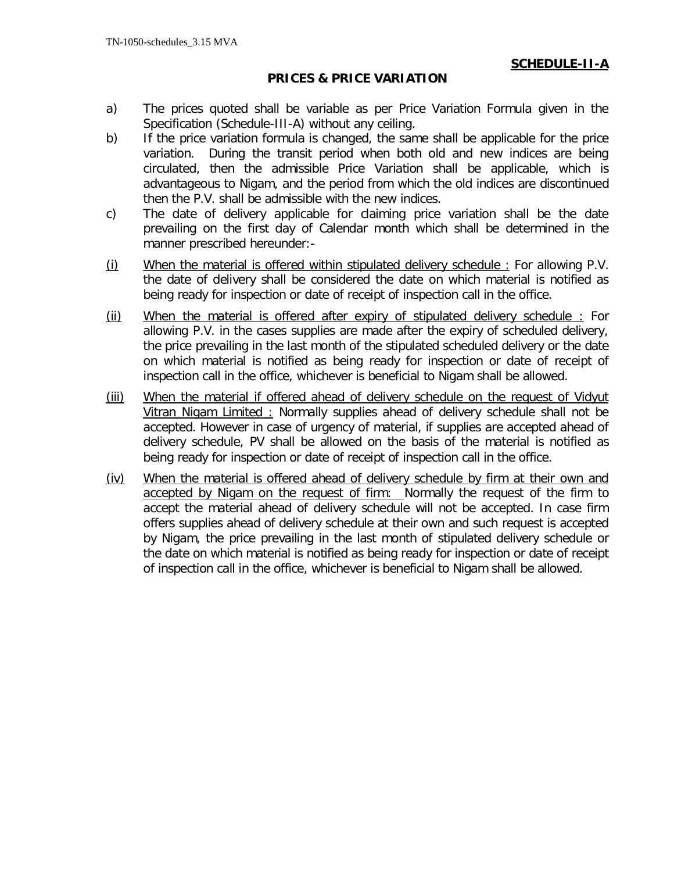## **SCHEDULE-II-A**

### **PRICES & PRICE VARIATION**

- a) The prices quoted shall be variable as per Price Variation Formula given in the Specification (Schedule-III-A) without any ceiling.
- b) If the price variation formula is changed, the same shall be applicable for the price variation. During the transit period when both old and new indices are being circulated, then the admissible Price Variation shall be applicable, which is advantageous to Nigam, and the period from which the old indices are discontinued then the P.V. shall be admissible with the new indices.
- c) The date of delivery applicable for claiming price variation shall be the date prevailing on the first day of Calendar month which shall be determined in the manner prescribed hereunder:-
- (i) When the material is offered within stipulated delivery schedule : For allowing P.V. the date of delivery shall be considered the date on which material is notified as being ready for inspection or date of receipt of inspection call in the office.
- (ii) When the material is offered after expiry of stipulated delivery schedule : For allowing P.V. in the cases supplies are made after the expiry of scheduled delivery, the price prevailing in the last month of the stipulated scheduled delivery or the date on which material is notified as being ready for inspection or date of receipt of inspection call in the office, whichever is beneficial to Nigam shall be allowed.
- (iii) When the material if offered ahead of delivery schedule on the request of Vidyut Vitran Nigam Limited : Normally supplies ahead of delivery schedule shall not be accepted. However in case of urgency of material, if supplies are accepted ahead of delivery schedule, PV shall be allowed on the basis of the material is notified as being ready for inspection or date of receipt of inspection call in the office.
- (iv) When the material is offered ahead of delivery schedule by firm at their own and accepted by Nigam on the request of firm: Normally the request of the firm to accept the material ahead of delivery schedule will not be accepted. In case firm offers supplies ahead of delivery schedule at their own and such request is accepted by Nigam, the price prevailing in the last month of stipulated delivery schedule or the date on which material is notified as being ready for inspection or date of receipt of inspection call in the office, whichever is beneficial to Nigam shall be allowed.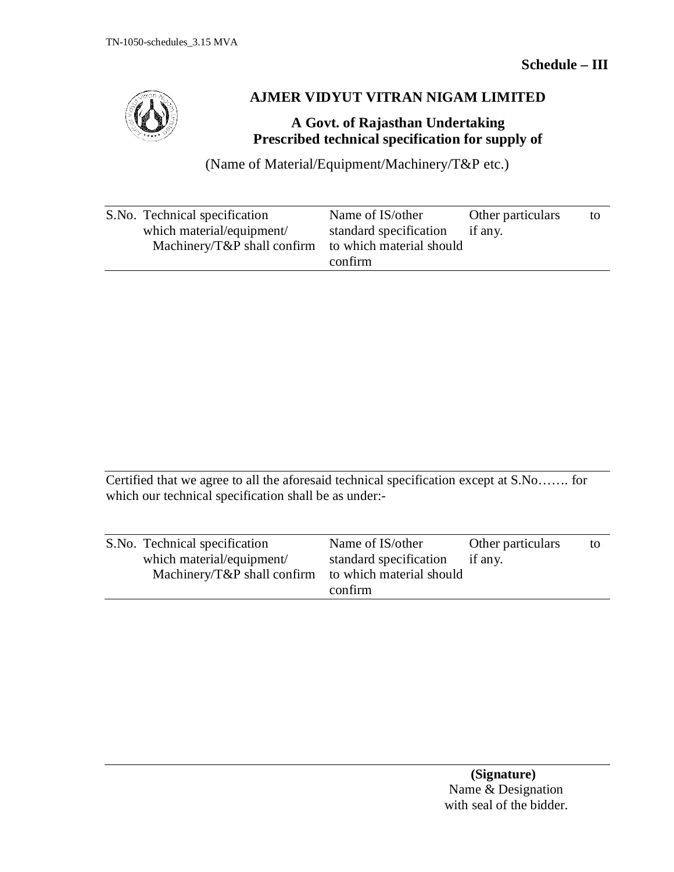

## **AJMER VIDYUT VITRAN NIGAM LIMITED**

## **A Govt. of Rajasthan Undertaking Prescribed technical specification for supply of**

(Name of Material/Equipment/Machinery/T&P etc.)

| S.No. Technical specification   | Name of IS/other         | Other particulars | to |
|---------------------------------|--------------------------|-------------------|----|
| which material/equipment/       | standard specification   | if any.           |    |
| Machinery/ $T\&P$ shall confirm | to which material should |                   |    |
|                                 | confirm                  |                   |    |

Certified that we agree to all the aforesaid technical specification except at S.No……. for which our technical specification shall be as under:-

| S.No. Technical specification                        | Name of IS/other       | Other particulars | to |
|------------------------------------------------------|------------------------|-------------------|----|
| which material/equipment/                            | standard specification | if any.           |    |
| Machinery/T&P shall confirm to which material should | confirm                |                   |    |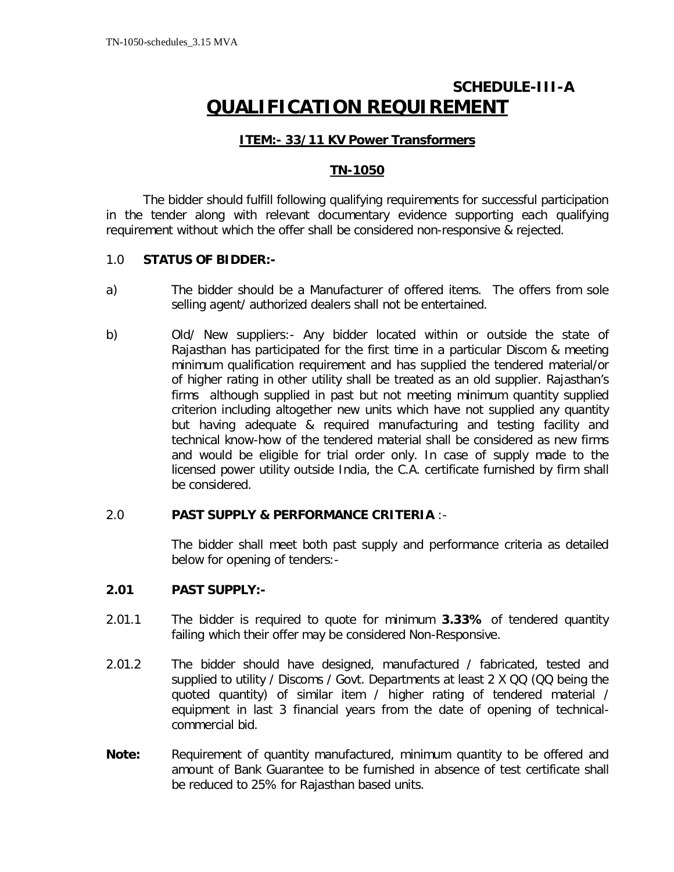# **SCHEDULE-III-A QUALIFICATION REQUIREMENT**

## **ITEM:- 33/11 KV Power Transformers**

## **TN-1050**

The bidder should fulfill following qualifying requirements for successful participation in the tender along with relevant documentary evidence supporting each qualifying requirement without which the offer shall be considered non-responsive & rejected.

### 1.0 **STATUS OF BIDDER:-**

- a) The bidder should be a Manufacturer of offered items. The offers from sole selling agent/ authorized dealers shall not be entertained.
- b) Old/ New suppliers:- Any bidder located within or outside the state of Rajasthan has participated for the first time in a particular Discom & meeting minimum qualification requirement and has supplied the tendered material/or of higher rating in other utility shall be treated as an old supplier. Rajasthan's firms although supplied in past but not meeting minimum quantity supplied criterion including altogether new units which have not supplied any quantity but having adequate & required manufacturing and testing facility and technical know-how of the tendered material shall be considered as new firms and would be eligible for trial order only. In case of supply made to the licensed power utility outside India, the C.A. certificate furnished by firm shall be considered.

### 2.0 **PAST SUPPLY & PERFORMANCE CRITERIA** :-

The bidder shall meet both past supply and performance criteria as detailed below for opening of tenders:-

### **2.01 PAST SUPPLY:-**

- 2.01.1 The bidder is required to quote for minimum **3.33%** of tendered quantity failing which their offer may be considered Non-Responsive.
- 2.01.2 The bidder should have designed, manufactured / fabricated, tested and supplied to utility / Discoms / Govt. Departments at least 2 X QQ (QQ being the quoted quantity) of similar item / higher rating of tendered material / equipment in last 3 financial years from the date of opening of technicalcommercial bid.
- **Note:** Requirement of quantity manufactured, minimum quantity to be offered and amount of Bank Guarantee to be furnished in absence of test certificate shall be reduced to 25% for Rajasthan based units.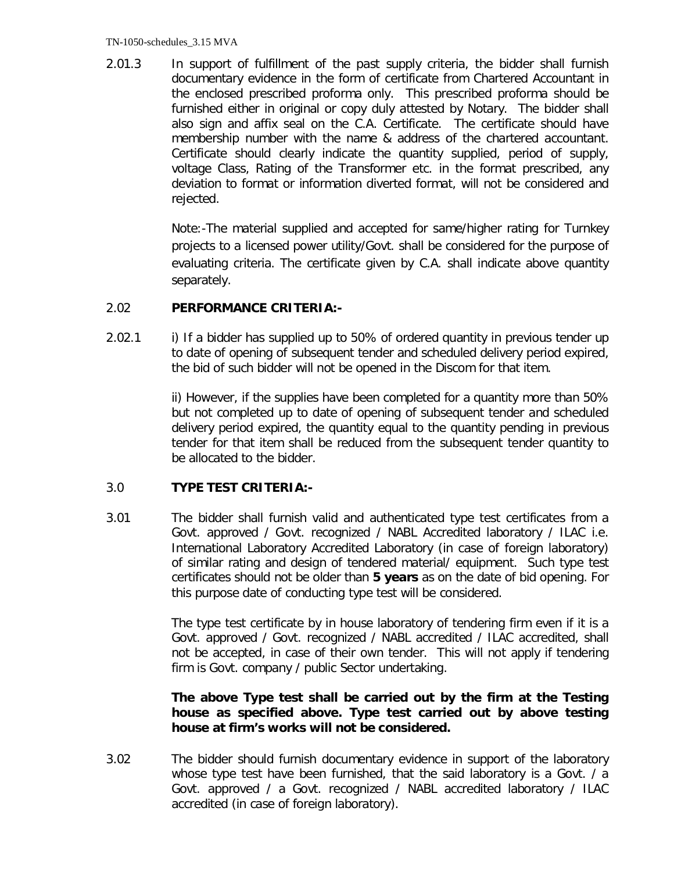2.01.3 In support of fulfillment of the past supply criteria, the bidder shall furnish documentary evidence in the form of certificate from Chartered Accountant in the enclosed prescribed proforma only. This prescribed proforma should be furnished either in original or copy duly attested by Notary. The bidder shall also sign and affix seal on the C.A. Certificate. The certificate should have membership number with the name & address of the chartered accountant. Certificate should clearly indicate the quantity supplied, period of supply, voltage Class, Rating of the Transformer etc. in the format prescribed, any deviation to format or information diverted format, will not be considered and rejected.

> Note:-The material supplied and accepted for same/higher rating for Turnkey projects to a licensed power utility/Govt. shall be considered for the purpose of evaluating criteria. The certificate given by C.A. shall indicate above quantity separately.

### 2.02 **PERFORMANCE CRITERIA:-**

2.02.1 i) If a bidder has supplied up to 50% of ordered quantity in previous tender up to date of opening of subsequent tender and scheduled delivery period expired, the bid of such bidder will not be opened in the Discom for that item.

> ii) However, if the supplies have been completed for a quantity more than 50% but not completed up to date of opening of subsequent tender and scheduled delivery period expired, the quantity equal to the quantity pending in previous tender for that item shall be reduced from the subsequent tender quantity to be allocated to the bidder.

## 3.0 **TYPE TEST CRITERIA:-**

3.01 The bidder shall furnish valid and authenticated type test certificates from a Govt. approved / Govt. recognized / NABL Accredited laboratory / ILAC i.e. International Laboratory Accredited Laboratory (in case of foreign laboratory) of similar rating and design of tendered material/ equipment. Such type test certificates should not be older than **5 years** as on the date of bid opening. For this purpose date of conducting type test will be considered.

> The type test certificate by in house laboratory of tendering firm even if it is a Govt. approved / Govt. recognized / NABL accredited / ILAC accredited, shall not be accepted, in case of their own tender. This will not apply if tendering firm is Govt. company / public Sector undertaking.

## **The above Type test shall be carried out by the firm at the Testing house as specified above. Type test carried out by above testing house at firm's works will not be considered.**

3.02 The bidder should furnish documentary evidence in support of the laboratory whose type test have been furnished, that the said laboratory is a Govt. / a Govt. approved / a Govt. recognized / NABL accredited laboratory / ILAC accredited (in case of foreign laboratory).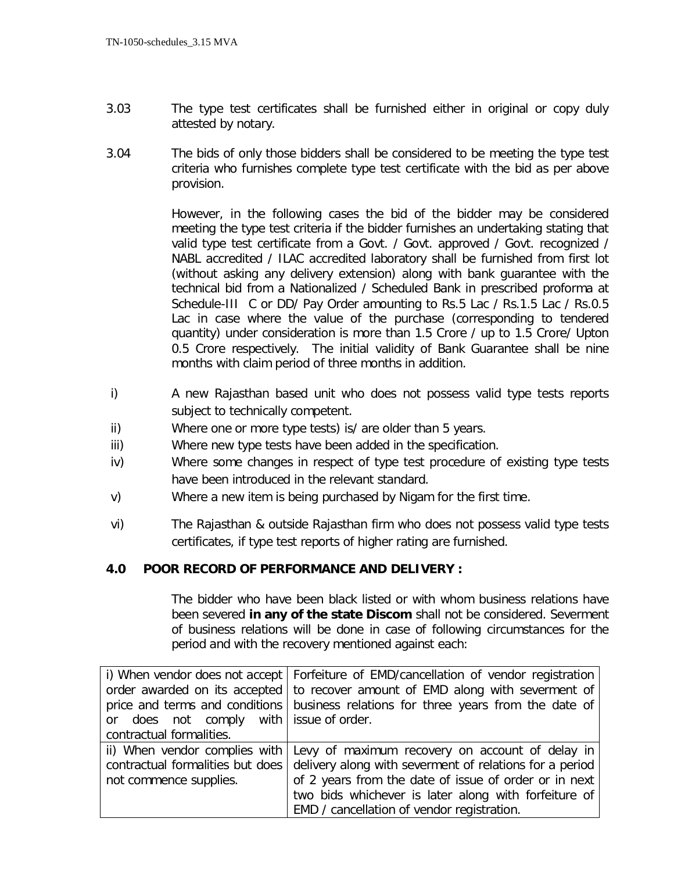- 3.03 The type test certificates shall be furnished either in original or copy duly attested by notary.
- 3.04 The bids of only those bidders shall be considered to be meeting the type test criteria who furnishes complete type test certificate with the bid as per above provision.

However, in the following cases the bid of the bidder may be considered meeting the type test criteria if the bidder furnishes an undertaking stating that valid type test certificate from a Govt. / Govt. approved / Govt. recognized / NABL accredited / ILAC accredited laboratory shall be furnished from first lot (without asking any delivery extension) along with bank guarantee with the technical bid from a Nationalized / Scheduled Bank in prescribed proforma at Schedule-III C or DD/ Pay Order amounting to Rs.5 Lac / Rs.1.5 Lac / Rs.0.5 Lac in case where the value of the purchase (corresponding to tendered quantity) under consideration is more than 1.5 Crore / up to 1.5 Crore/ Upton 0.5 Crore respectively. The initial validity of Bank Guarantee shall be nine months with claim period of three months in addition.

- i) A new Rajasthan based unit who does not possess valid type tests reports subject to technically competent.
- ii) Where one or more type tests) is/ are older than 5 years.
- iii) Where new type tests have been added in the specification.
- iv) Where some changes in respect of type test procedure of existing type tests have been introduced in the relevant standard.
- v) Where a new item is being purchased by Nigam for the first time.
- vi) The Rajasthan & outside Rajasthan firm who does not possess valid type tests certificates, if type test reports of higher rating are furnished.

## **4.0 POOR RECORD OF PERFORMANCE AND DELIVERY :**

The bidder who have been black listed or with whom business relations have been severed **in any of the state Discom** shall not be considered. Severment of business relations will be done in case of following circumstances for the period and with the recovery mentioned against each:

|                                           | i) When vendor does not accept   Forfeiture of EMD/cancellation of vendor registration |  |
|-------------------------------------------|----------------------------------------------------------------------------------------|--|
|                                           | order awarded on its accepted to recover amount of EMD along with severment of         |  |
|                                           | price and terms and conditions business relations for three years from the date of     |  |
| or does not comply with   issue of order. |                                                                                        |  |
| contractual formalities.                  |                                                                                        |  |
|                                           | ii) When vendor complies with Levy of maximum recovery on account of delay in          |  |
| contractual formalities but does          | delivery along with severment of relations for a period                                |  |
| not commence supplies.                    | of 2 years from the date of issue of order or in next                                  |  |
|                                           | two bids whichever is later along with forfeiture of                                   |  |
|                                           | EMD / cancellation of vendor registration.                                             |  |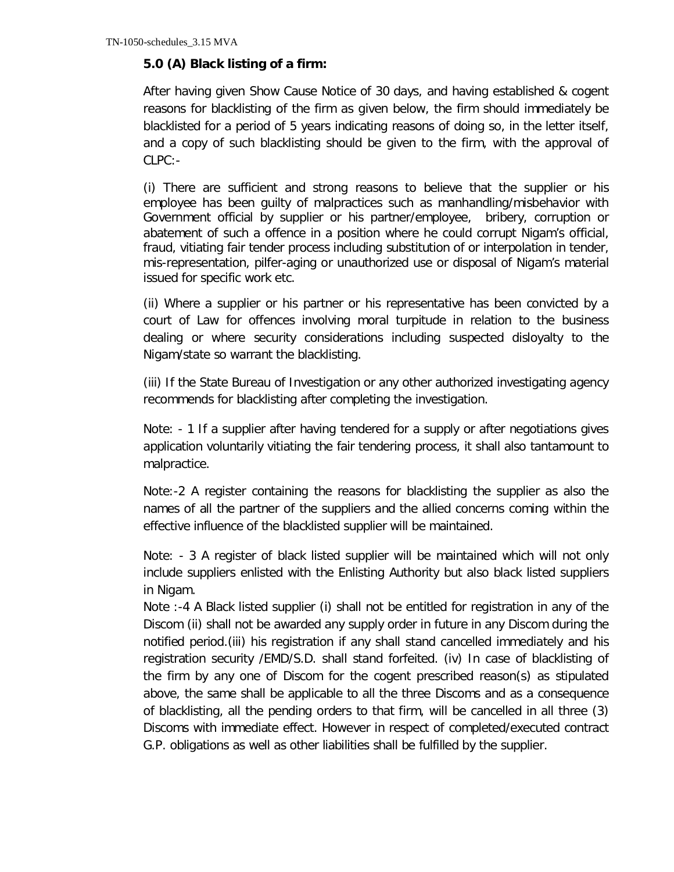### **5.0 (A) Black listing of a firm:**

After having given Show Cause Notice of 30 days, and having established & cogent reasons for blacklisting of the firm as given below, the firm should immediately be blacklisted for a period of 5 years indicating reasons of doing so, in the letter itself, and a copy of such blacklisting should be given to the firm, with the approval of CLPC:-

(i) There are sufficient and strong reasons to believe that the supplier or his employee has been guilty of malpractices such as manhandling/misbehavior with Government official by supplier or his partner/employee, bribery, corruption or abatement of such a offence in a position where he could corrupt Nigam's official, fraud, vitiating fair tender process including substitution of or interpolation in tender, mis-representation, pilfer-aging or unauthorized use or disposal of Nigam's material issued for specific work etc.

(ii) Where a supplier or his partner or his representative has been convicted by a court of Law for offences involving moral turpitude in relation to the business dealing or where security considerations including suspected disloyalty to the Nigam/state so warrant the blacklisting.

(iii) If the State Bureau of Investigation or any other authorized investigating agency recommends for blacklisting after completing the investigation.

Note: - 1 If a supplier after having tendered for a supply or after negotiations gives application voluntarily vitiating the fair tendering process, it shall also tantamount to malpractice.

Note:-2 A register containing the reasons for blacklisting the supplier as also the names of all the partner of the suppliers and the allied concerns coming within the effective influence of the blacklisted supplier will be maintained.

Note: - 3 A register of black listed supplier will be maintained which will not only include suppliers enlisted with the Enlisting Authority but also black listed suppliers in Nigam.

Note :-4 A Black listed supplier (i) shall not be entitled for registration in any of the Discom (ii) shall not be awarded any supply order in future in any Discom during the notified period.(iii) his registration if any shall stand cancelled immediately and his registration security /EMD/S.D. shall stand forfeited. (iv) In case of blacklisting of the firm by any one of Discom for the cogent prescribed reason(s) as stipulated above, the same shall be applicable to all the three Discoms and as a consequence of blacklisting, all the pending orders to that firm, will be cancelled in all three (3) Discoms with immediate effect. However in respect of completed/executed contract G.P. obligations as well as other liabilities shall be fulfilled by the supplier.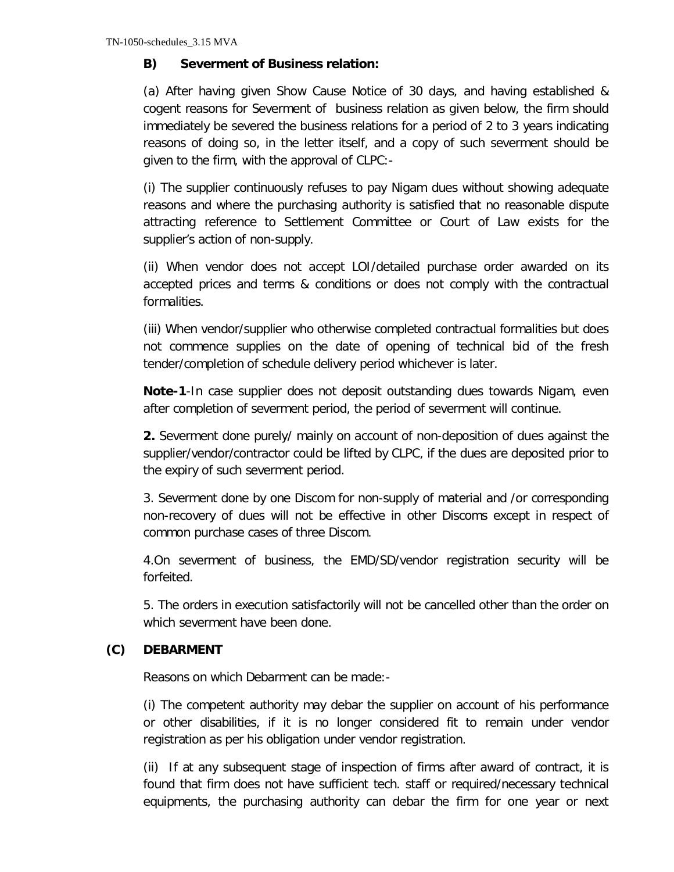## **B) Severment of Business relation:**

(a) After having given Show Cause Notice of 30 days, and having established & cogent reasons for Severment of business relation as given below, the firm should immediately be severed the business relations for a period of 2 to 3 years indicating reasons of doing so, in the letter itself, and a copy of such severment should be given to the firm, with the approval of CLPC:-

(i) The supplier continuously refuses to pay Nigam dues without showing adequate reasons and where the purchasing authority is satisfied that no reasonable dispute attracting reference to Settlement Committee or Court of Law exists for the supplier's action of non-supply.

(ii) When vendor does not accept LOI/detailed purchase order awarded on its accepted prices and terms & conditions or does not comply with the contractual formalities.

(iii) When vendor/supplier who otherwise completed contractual formalities but does not commence supplies on the date of opening of technical bid of the fresh tender/completion of schedule delivery period whichever is later.

**Note-1**-In case supplier does not deposit outstanding dues towards Nigam, even after completion of severment period, the period of severment will continue.

**2.** Severment done purely/ mainly on account of non-deposition of dues against the supplier/vendor/contractor could be lifted by CLPC, if the dues are deposited prior to the expiry of such severment period.

3. Severment done by one Discom for non-supply of material and /or corresponding non-recovery of dues will not be effective in other Discoms except in respect of common purchase cases of three Discom.

4.On severment of business, the EMD/SD/vendor registration security will be forfeited.

5. The orders in execution satisfactorily will not be cancelled other than the order on which severment have been done.

## **(C) DEBARMENT**

Reasons on which Debarment can be made:-

(i) The competent authority may debar the supplier on account of his performance or other disabilities, if it is no longer considered fit to remain under vendor registration as per his obligation under vendor registration.

(ii) If at any subsequent stage of inspection of firms after award of contract, it is found that firm does not have sufficient tech. staff or required/necessary technical equipments, the purchasing authority can debar the firm for one year or next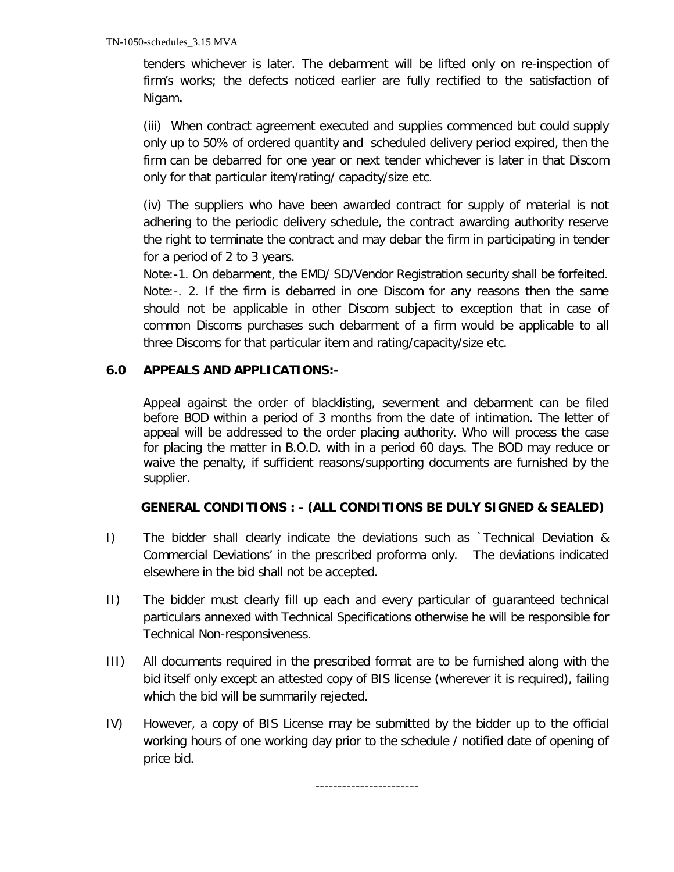tenders whichever is later. The debarment will be lifted only on re-inspection of firm's works; the defects noticed earlier are fully rectified to the satisfaction of Nigam**.** 

(iii) When contract agreement executed and supplies commenced but could supply only up to 50% of ordered quantity and scheduled delivery period expired, then the firm can be debarred for one year or next tender whichever is later in that Discom only for that particular item/rating/ capacity/size etc.

(iv) The suppliers who have been awarded contract for supply of material is not adhering to the periodic delivery schedule, the contract awarding authority reserve the right to terminate the contract and may debar the firm in participating in tender for a period of 2 to 3 years.

Note:-1. On debarment, the EMD/ SD/Vendor Registration security shall be forfeited. Note:-. 2. If the firm is debarred in one Discom for any reasons then the same should not be applicable in other Discom subject to exception that in case of common Discoms purchases such debarment of a firm would be applicable to all three Discoms for that particular item and rating/capacity/size etc.

## **6.0 APPEALS AND APPLICATIONS:-**

Appeal against the order of blacklisting, severment and debarment can be filed before BOD within a period of 3 months from the date of intimation. The letter of appeal will be addressed to the order placing authority. Who will process the case for placing the matter in B.O.D. with in a period 60 days. The BOD may reduce or waive the penalty, if sufficient reasons/supporting documents are furnished by the supplier.

## **GENERAL CONDITIONS : - (ALL CONDITIONS BE DULY SIGNED & SEALED)**

- I) The bidder shall clearly indicate the deviations such as `Technical Deviation & Commercial Deviations' in the prescribed proforma only. The deviations indicated elsewhere in the bid shall not be accepted.
- II) The bidder must clearly fill up each and every particular of guaranteed technical particulars annexed with Technical Specifications otherwise he will be responsible for Technical Non-responsiveness.
- III) All documents required in the prescribed format are to be furnished along with the bid itself only except an attested copy of BIS license (wherever it is required), failing which the bid will be summarily rejected.
- IV) However, a copy of BIS License may be submitted by the bidder up to the official working hours of one working day prior to the schedule / notified date of opening of price bid.

-----------------------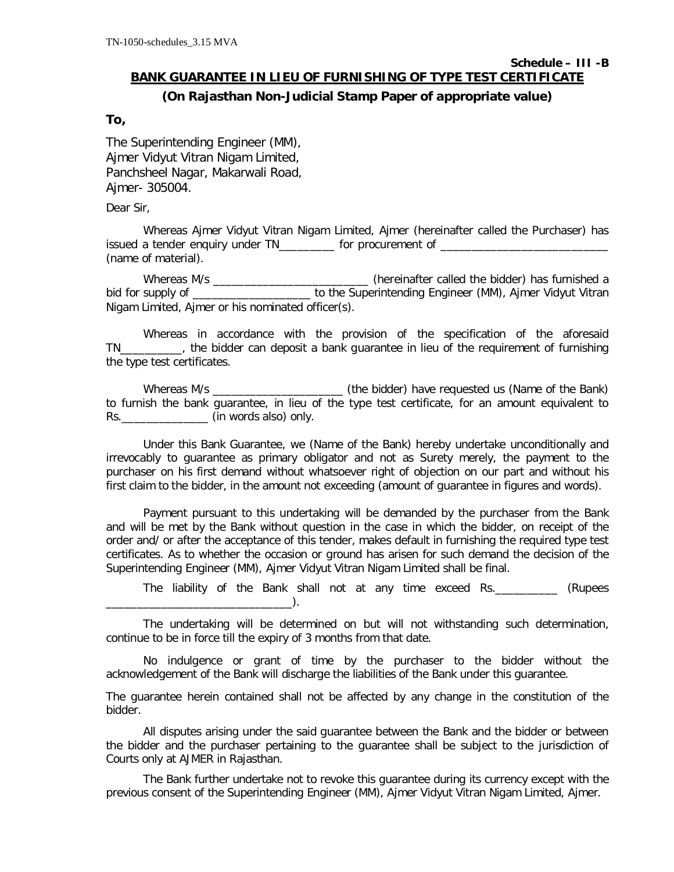# **Schedule – III -B**

## **BANK GUARANTEE IN LIEU OF FURNISHING OF TYPE TEST CERTIFICATE (On Rajasthan Non-Judicial Stamp Paper of appropriate value)**

### **To,**

The Superintending Engineer (MM), Ajmer Vidyut Vitran Nigam Limited, Panchsheel Nagar, Makarwali Road, Ajmer- 305004.

Dear Sir,

Whereas Ajmer Vidyut Vitran Nigam Limited, Ajmer (hereinafter called the Purchaser) has issued a tender enquiry under TN\_\_\_\_\_\_\_\_\_ for procurement of \_\_\_\_\_\_\_\_\_\_\_\_\_\_\_\_\_\_\_\_ (name of material).

Whereas M/s \_\_\_\_\_\_\_\_\_\_\_\_\_\_\_\_\_\_\_\_\_\_\_\_\_\_\_\_(hereinafter called the bidder) has furnished a bid for supply of \_\_\_\_\_\_\_\_\_\_\_\_\_\_\_\_\_\_\_ to the Superintending Engineer (MM), Ajmer Vidyut Vitran Nigam Limited, Ajmer or his nominated officer(s).

Whereas in accordance with the provision of the specification of the aforesaid TN\_\_\_\_\_\_\_\_\_\_, the bidder can deposit a bank guarantee in lieu of the requirement of furnishing the type test certificates.

Whereas M/s \_\_\_\_\_\_\_\_\_\_\_\_\_\_\_\_\_\_\_\_\_ (the bidder) have requested us (Name of the Bank) to furnish the bank guarantee, in lieu of the type test certificate, for an amount equivalent to Rs.\_\_\_\_\_\_\_\_\_\_\_\_\_\_ (in words also) only.

Under this Bank Guarantee, we (Name of the Bank) hereby undertake unconditionally and irrevocably to guarantee as primary obligator and not as Surety merely, the payment to the purchaser on his first demand without whatsoever right of objection on our part and without his first claim to the bidder, in the amount not exceeding (amount of guarantee in figures and words).

Payment pursuant to this undertaking will be demanded by the purchaser from the Bank and will be met by the Bank without question in the case in which the bidder, on receipt of the order and/ or after the acceptance of this tender, makes default in furnishing the required type test certificates. As to whether the occasion or ground has arisen for such demand the decision of the Superintending Engineer (MM), Ajmer Vidyut Vitran Nigam Limited shall be final.

The liability of the Bank shall not at any time exceed Rs.\_\_\_\_\_\_\_\_\_\_ (Rupees  $\Box$ ).

The undertaking will be determined on but will not withstanding such determination, continue to be in force till the expiry of 3 months from that date.

No indulgence or grant of time by the purchaser to the bidder without the acknowledgement of the Bank will discharge the liabilities of the Bank under this guarantee.

The guarantee herein contained shall not be affected by any change in the constitution of the bidder.

All disputes arising under the said guarantee between the Bank and the bidder or between the bidder and the purchaser pertaining to the guarantee shall be subject to the jurisdiction of Courts only at AJMER in Rajasthan.

The Bank further undertake not to revoke this guarantee during its currency except with the previous consent of the Superintending Engineer (MM), Ajmer Vidyut Vitran Nigam Limited, Ajmer.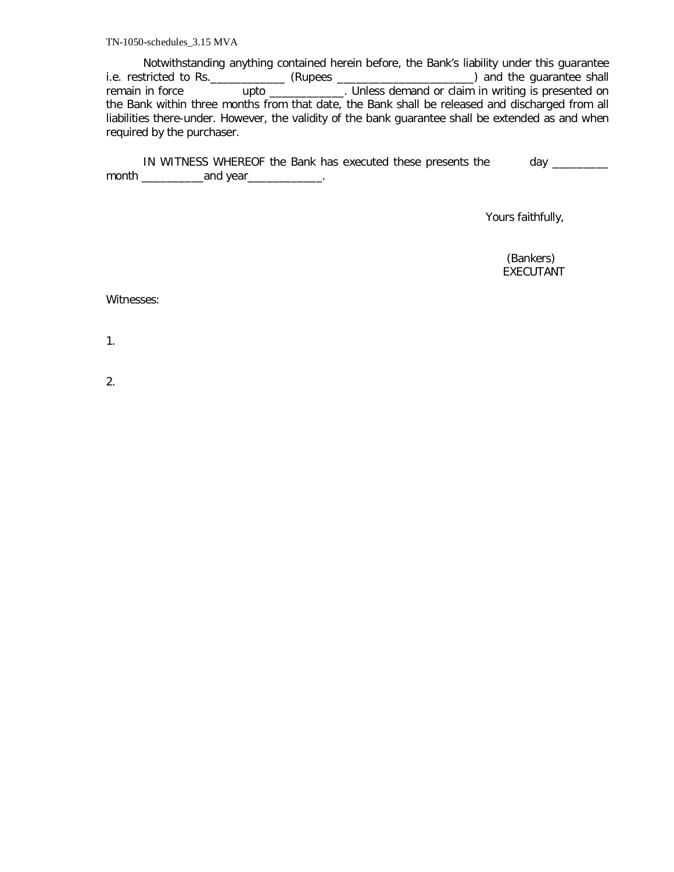TN-1050-schedules\_3.15 MVA

Notwithstanding anything contained herein before, the Bank's liability under this guarantee i.e. restricted to Rs.\_\_\_\_\_\_\_\_\_\_\_\_ (Rupees \_\_\_\_\_\_\_\_\_\_\_\_\_\_\_\_\_\_\_\_\_\_) and the guarantee shall remain in force **upto \_\_\_\_\_\_\_\_\_**. Unless demand or claim in writing is presented on the Bank within three months from that date, the Bank shall be released and discharged from all liabilities there-under. However, the validity of the bank guarantee shall be extended as and when required by the purchaser.

IN WITNESS WHEREOF the Bank has executed these presents the day \_\_\_\_\_\_\_\_ month \_\_\_\_\_\_\_\_\_\_and year\_\_\_\_\_\_\_\_\_\_\_\_.

Yours faithfully,

 (Bankers) EXECUTANT

Witnesses:

1.

2.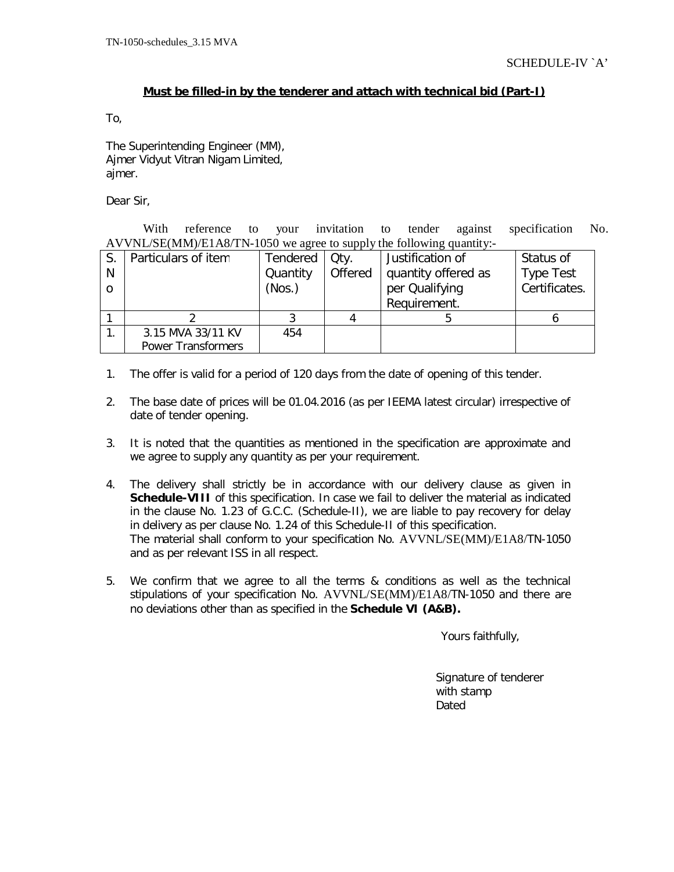### **Must be filled-in by the tenderer and attach with technical bid (Part-I)**

To,

The Superintending Engineer (MM), Ajmer Vidyut Vitran Nigam Limited, ajmer.

Dear Sir,

With reference to your invitation to tender against specification No. AVVNL/SE(MM)/E1A8/TN-1050 we agree to supply the following quantity:-

|   | Particulars of item       | Tendered | Qty.    | Justification of    | Status of        |
|---|---------------------------|----------|---------|---------------------|------------------|
| N |                           | Quantity | Offered | quantity offered as | <b>Type Test</b> |
|   |                           | (Nos.)   |         | per Qualifying      | Certificates.    |
|   |                           |          |         | Requirement.        |                  |
|   |                           |          |         |                     |                  |
|   | 3.15 MVA 33/11 KV         | 454      |         |                     |                  |
|   | <b>Power Transformers</b> |          |         |                     |                  |

- 1. The offer is valid for a period of 120 days from the date of opening of this tender.
- 2. The base date of prices will be 01.04.2016 (as per IEEMA latest circular) irrespective of date of tender opening.
- 3. It is noted that the quantities as mentioned in the specification are approximate and we agree to supply any quantity as per your requirement.
- 4. The delivery shall strictly be in accordance with our delivery clause as given in **Schedule-VIII** of this specification. In case we fail to deliver the material as indicated in the clause No. 1.23 of G.C.C. (Schedule-II), we are liable to pay recovery for delay in delivery as per clause No. 1.24 of this Schedule-II of this specification. The material shall conform to your specification No. AVVNL/SE(MM)/E1A8/TN-1050 and as per relevant ISS in all respect.
- 5. We confirm that we agree to all the terms & conditions as well as the technical stipulations of your specification No. AVVNL/SE(MM)/E1A8/TN-1050 and there are no deviations other than as specified in the **Schedule VI (A&B).**

Yours faithfully,

 Signature of tenderer with stamp Dated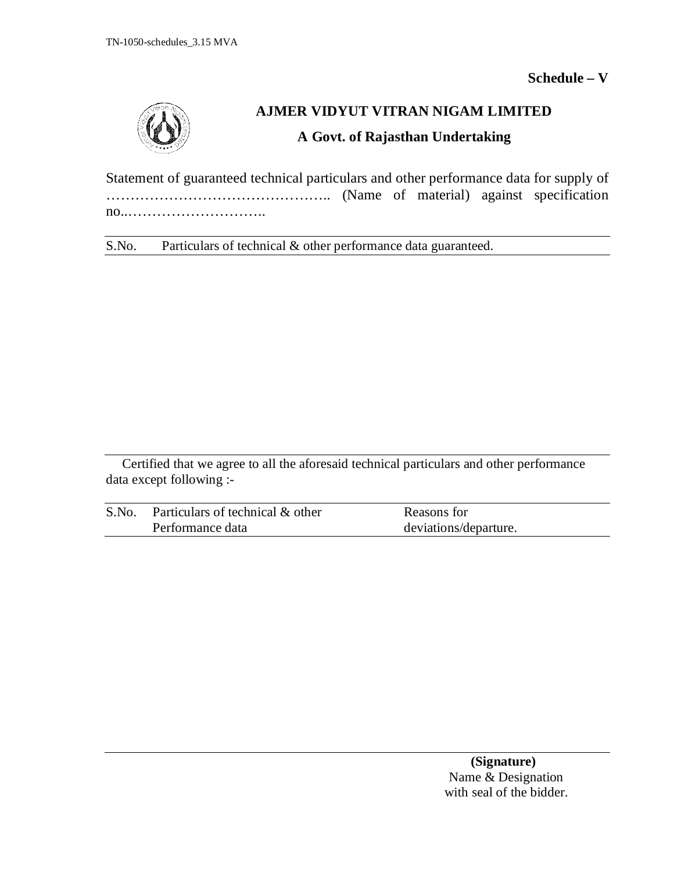**Schedule – V**



# **AJMER VIDYUT VITRAN NIGAM LIMITED**

## **A Govt. of Rajasthan Undertaking**

Statement of guaranteed technical particulars and other performance data for supply of ……………………………………….. (Name of material) against specification no..………………………..

S.No. Particulars of technical & other performance data guaranteed.

Certified that we agree to all the aforesaid technical particulars and other performance data except following :-

| S.No. | Particulars of technical & other | Reasons for           |
|-------|----------------------------------|-----------------------|
|       | Performance data                 | deviations/departure. |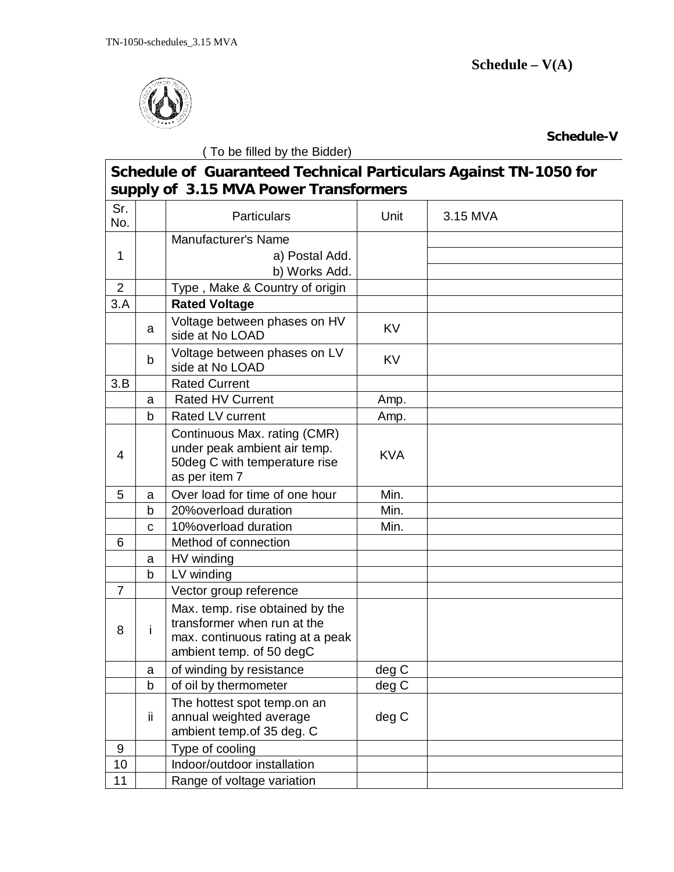

**Schedule-V**

|                | (To be filled by the Bidder) |                                                                                                                                |            |          |  |
|----------------|------------------------------|--------------------------------------------------------------------------------------------------------------------------------|------------|----------|--|
|                |                              | Schedule of Guaranteed Technical Particulars Against TN-1050 for<br>supply of 3.15 MVA Power Transformers                      |            |          |  |
| Sr.<br>No.     |                              | <b>Particulars</b>                                                                                                             | Unit       | 3.15 MVA |  |
| 1              |                              | Manufacturer's Name<br>a) Postal Add.<br>b) Works Add.                                                                         |            |          |  |
| $\overline{2}$ |                              | Type, Make & Country of origin                                                                                                 |            |          |  |
| 3.A            |                              | <b>Rated Voltage</b>                                                                                                           |            |          |  |
|                | a                            | Voltage between phases on HV<br>side at No LOAD                                                                                | KV         |          |  |
|                | b                            | Voltage between phases on LV<br>side at No LOAD                                                                                | <b>KV</b>  |          |  |
| 3.B            |                              | <b>Rated Current</b>                                                                                                           |            |          |  |
|                | a                            | <b>Rated HV Current</b>                                                                                                        | Amp.       |          |  |
|                | b                            | Rated LV current                                                                                                               | Amp.       |          |  |
| 4              |                              | Continuous Max. rating (CMR)<br>under peak ambient air temp.<br>50deg C with temperature rise<br>as per item 7                 | <b>KVA</b> |          |  |
| 5              | a                            | Over load for time of one hour                                                                                                 | Min.       |          |  |
|                | $\mathsf b$                  | 20% overload duration                                                                                                          | Min.       |          |  |
|                | C                            | 10% overload duration                                                                                                          | Min.       |          |  |
| 6              |                              | Method of connection                                                                                                           |            |          |  |
|                | a                            | HV winding                                                                                                                     |            |          |  |
|                | b                            | LV winding                                                                                                                     |            |          |  |
| $\overline{7}$ |                              | Vector group reference                                                                                                         |            |          |  |
| 8              | Ť                            | Max. temp. rise obtained by the<br>transformer when run at the<br>max. continuous rating at a peak<br>ambient temp. of 50 degC |            |          |  |
|                | $\mathsf{a}$                 | of winding by resistance                                                                                                       | deg C      |          |  |
|                | b                            | of oil by thermometer                                                                                                          | deg C      |          |  |
|                | ii.                          | The hottest spot temp.on an<br>annual weighted average<br>ambient temp.of 35 deg. C                                            | deg C      |          |  |
| 9              |                              | Type of cooling                                                                                                                |            |          |  |
| 10             |                              | Indoor/outdoor installation                                                                                                    |            |          |  |

11 | Range of voltage variation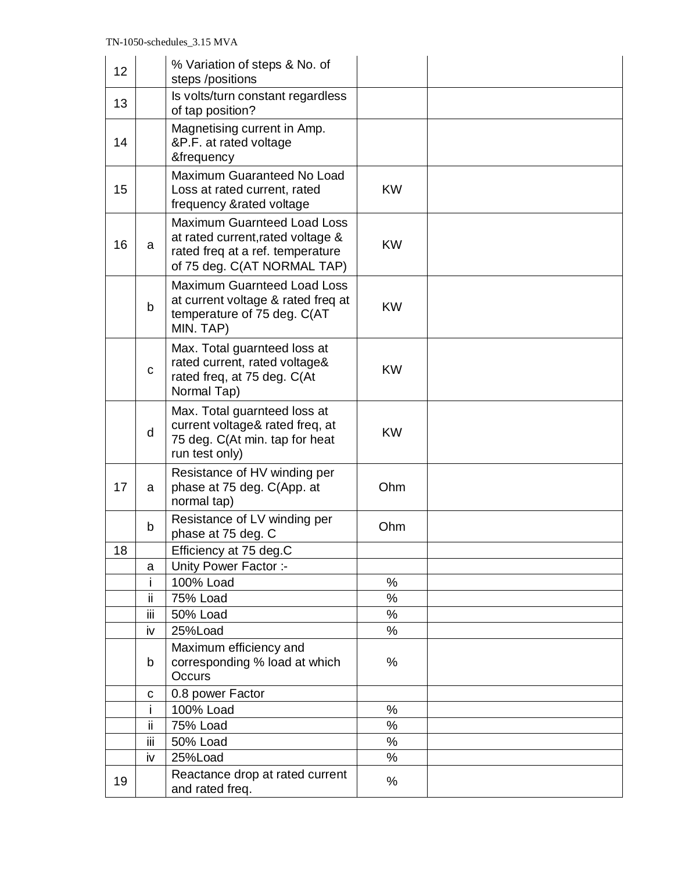| 12 |     | % Variation of steps & No. of<br>steps /positions                                                                                          |           |  |
|----|-----|--------------------------------------------------------------------------------------------------------------------------------------------|-----------|--|
| 13 |     | Is volts/turn constant regardless<br>of tap position?                                                                                      |           |  |
| 14 |     | Magnetising current in Amp.<br>&P.F. at rated voltage<br>&frequency                                                                        |           |  |
| 15 |     | Maximum Guaranteed No Load<br>Loss at rated current, rated<br>frequency &rated voltage                                                     | <b>KW</b> |  |
| 16 | a   | <b>Maximum Guarnteed Load Loss</b><br>at rated current, rated voltage &<br>rated freq at a ref. temperature<br>of 75 deg. C(AT NORMAL TAP) | <b>KW</b> |  |
|    | b   | Maximum Guarnteed Load Loss<br>at current voltage & rated freq at<br>temperature of 75 deg. C(AT<br>MIN. TAP)                              | <b>KW</b> |  |
|    | C   | Max. Total guarnteed loss at<br>rated current, rated voltage&<br>rated freq, at 75 deg. C(At<br>Normal Tap)                                | <b>KW</b> |  |
|    | d   | Max. Total guarnteed loss at<br>current voltage& rated freq, at<br>75 deg. C(At min. tap for heat<br>run test only)                        | <b>KW</b> |  |
| 17 | a   | Resistance of HV winding per<br>phase at 75 deg. C(App. at<br>normal tap)                                                                  | Ohm       |  |
|    | b   | Resistance of LV winding per<br>phase at 75 deg. C                                                                                         | Ohm       |  |
| 18 |     | Efficiency at 75 deg.C                                                                                                                     |           |  |
|    | a   | Unity Power Factor :-                                                                                                                      |           |  |
|    | i   | 100% Load                                                                                                                                  | %         |  |
|    | ii  | <b>75% Load</b>                                                                                                                            | $\%$      |  |
|    | iij | <b>50% Load</b>                                                                                                                            | %         |  |
|    | iv  | 25%Load                                                                                                                                    | %         |  |
|    | b   | Maximum efficiency and<br>corresponding % load at which<br>Occurs                                                                          | %         |  |
|    | C   | 0.8 power Factor                                                                                                                           |           |  |
|    | j.  | 100% Load                                                                                                                                  | %         |  |
|    | ii  | 75% Load                                                                                                                                   | $\%$      |  |
|    | iij | <b>50% Load</b>                                                                                                                            | %         |  |
|    | iv  | 25%Load                                                                                                                                    | $\%$      |  |
| 19 |     | Reactance drop at rated current<br>and rated freq.                                                                                         | %         |  |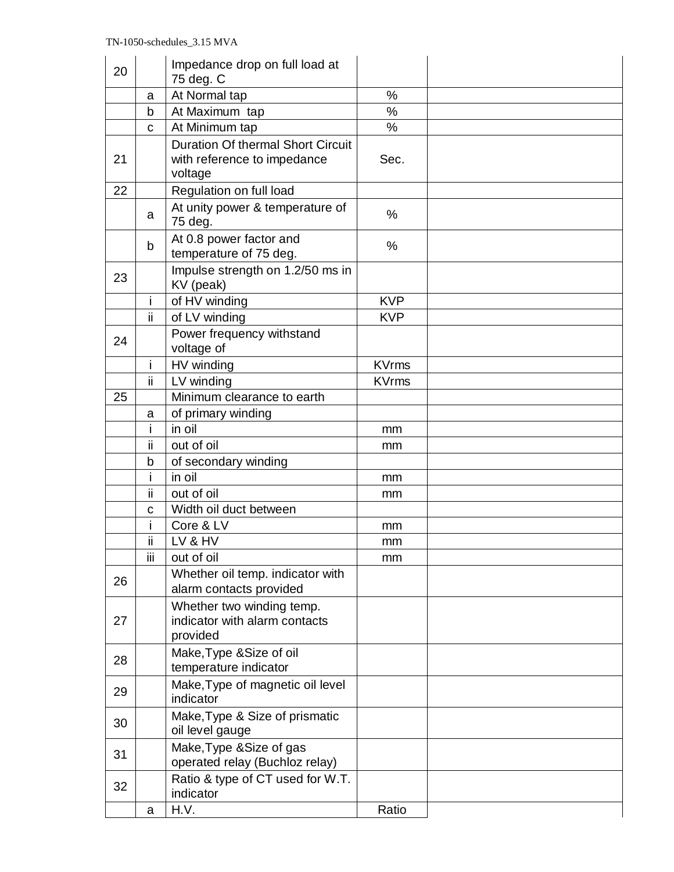| 20 |             | Impedance drop on full load at<br>75 deg. C                |               |  |
|----|-------------|------------------------------------------------------------|---------------|--|
|    | a           | At Normal tap                                              | %             |  |
|    | b           | At Maximum tap                                             | $\frac{0}{0}$ |  |
|    | C           | At Minimum tap                                             | $\%$          |  |
|    |             | <b>Duration Of thermal Short Circuit</b>                   |               |  |
| 21 |             | with reference to impedance<br>voltage                     | Sec.          |  |
| 22 |             | Regulation on full load                                    |               |  |
|    |             | At unity power & temperature of                            |               |  |
|    | a           | 75 deg.                                                    | %             |  |
|    | $\mathsf b$ | At 0.8 power factor and<br>temperature of 75 deg.          | $\%$          |  |
| 23 |             | Impulse strength on 1.2/50 ms in<br>KV (peak)              |               |  |
|    | i.          | of HV winding                                              | <b>KVP</b>    |  |
|    | ii          | of LV winding                                              | <b>KVP</b>    |  |
| 24 |             | Power frequency withstand<br>voltage of                    |               |  |
|    | i.          | HV winding                                                 | <b>KVrms</b>  |  |
|    | ii.         | LV winding                                                 | <b>KVrms</b>  |  |
| 25 |             | Minimum clearance to earth                                 |               |  |
|    | a           | of primary winding                                         |               |  |
|    | i.          | in oil                                                     | mm            |  |
|    | ii          | out of oil                                                 | mm            |  |
|    | b           | of secondary winding                                       |               |  |
|    | i           | in oil                                                     | mm            |  |
|    | ii          | out of oil                                                 | mm            |  |
|    | $\mathbf c$ | Width oil duct between                                     |               |  |
|    | Ť           | Core & LV                                                  | mm            |  |
|    | ii          | LV & HV                                                    | mm            |  |
|    | iίi         | out of oil                                                 | mm            |  |
| 26 |             | Whether oil temp. indicator with                           |               |  |
|    |             | alarm contacts provided                                    |               |  |
|    |             | Whether two winding temp.                                  |               |  |
| 27 |             | indicator with alarm contacts                              |               |  |
|    |             | provided                                                   |               |  |
| 28 |             | Make, Type & Size of oil                                   |               |  |
|    |             | temperature indicator                                      |               |  |
| 29 |             | Make, Type of magnetic oil level<br>indicator              |               |  |
| 30 |             | Make, Type & Size of prismatic<br>oil level gauge          |               |  |
| 31 |             | Make, Type & Size of gas<br>operated relay (Buchloz relay) |               |  |
| 32 |             | Ratio & type of CT used for W.T.<br>indicator              |               |  |
|    | a           | H.V.                                                       | Ratio         |  |
|    |             |                                                            |               |  |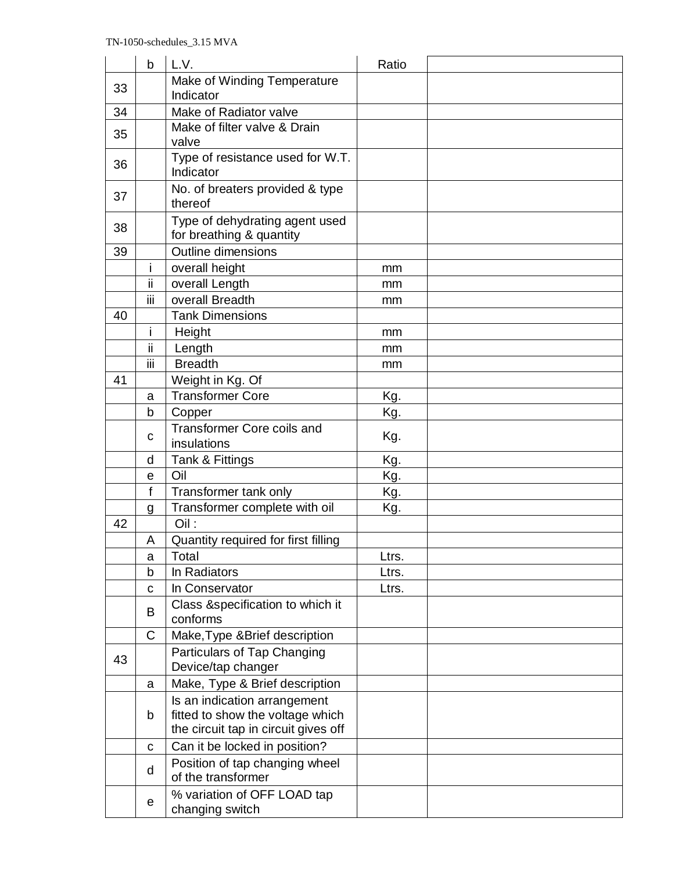|    | b            | L.V.                                                                                                     | Ratio |  |
|----|--------------|----------------------------------------------------------------------------------------------------------|-------|--|
| 33 |              | Make of Winding Temperature                                                                              |       |  |
|    |              | Indicator                                                                                                |       |  |
| 34 |              | Make of Radiator valve                                                                                   |       |  |
| 35 |              | Make of filter valve & Drain<br>valve                                                                    |       |  |
| 36 |              | Type of resistance used for W.T.<br>Indicator                                                            |       |  |
| 37 |              | No. of breaters provided & type<br>thereof                                                               |       |  |
| 38 |              | Type of dehydrating agent used<br>for breathing & quantity                                               |       |  |
| 39 |              | <b>Outline dimensions</b>                                                                                |       |  |
|    | j.           | overall height                                                                                           | mm    |  |
|    | ΪÏ           | overall Length                                                                                           | mm    |  |
|    | iίi          | overall Breadth                                                                                          | mm    |  |
| 40 |              | <b>Tank Dimensions</b>                                                                                   |       |  |
|    | i.           | Height                                                                                                   | mm    |  |
|    | ii           | Length                                                                                                   | mm    |  |
|    | iii          | <b>Breadth</b>                                                                                           | mm    |  |
| 41 |              | Weight in Kg. Of                                                                                         |       |  |
|    | a            | <b>Transformer Core</b>                                                                                  | Kg.   |  |
|    | b            | Copper                                                                                                   | Kg.   |  |
|    | C            | <b>Transformer Core coils and</b><br>insulations                                                         | Kg.   |  |
|    | d            | Tank & Fittings                                                                                          | Kg.   |  |
|    | $\mathbf e$  | Oil                                                                                                      | Kg.   |  |
|    | f            | Transformer tank only                                                                                    | Kg.   |  |
|    | g            | Transformer complete with oil                                                                            | Kg.   |  |
| 42 |              | Oil:                                                                                                     |       |  |
|    | A            | Quantity required for first filling                                                                      |       |  |
|    | a            | Total                                                                                                    | Ltrs. |  |
|    | b            | In Radiators                                                                                             | Ltrs. |  |
|    | $\mathbf{C}$ | In Conservator                                                                                           | Ltrs. |  |
|    | B            | Class &specification to which it<br>conforms                                                             |       |  |
|    | C            | Make, Type & Brief description                                                                           |       |  |
|    |              | Particulars of Tap Changing                                                                              |       |  |
| 43 |              | Device/tap changer                                                                                       |       |  |
|    | a            | Make, Type & Brief description                                                                           |       |  |
|    | b            | Is an indication arrangement<br>fitted to show the voltage which<br>the circuit tap in circuit gives off |       |  |
|    |              | Can it be locked in position?                                                                            |       |  |
|    | $\mathbf C$  |                                                                                                          |       |  |
|    | d            | Position of tap changing wheel<br>of the transformer                                                     |       |  |
|    | е            | % variation of OFF LOAD tap<br>changing switch                                                           |       |  |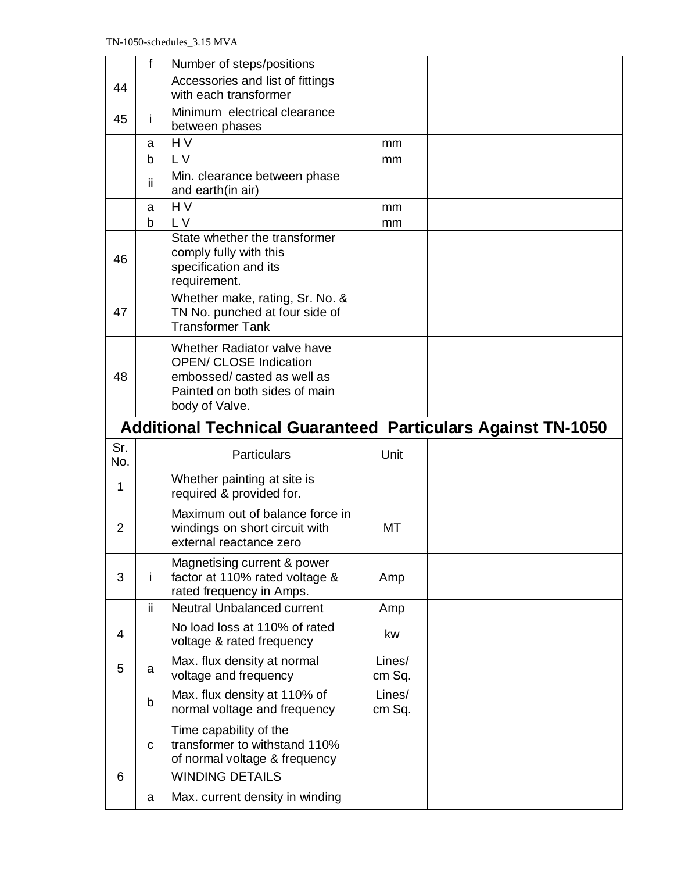|                | f                                                                  | Number of steps/positions                                                                                                                     |                  |  |  |  |
|----------------|--------------------------------------------------------------------|-----------------------------------------------------------------------------------------------------------------------------------------------|------------------|--|--|--|
| 44             |                                                                    | Accessories and list of fittings<br>with each transformer                                                                                     |                  |  |  |  |
| 45             | Ĺ                                                                  | Minimum electrical clearance<br>between phases                                                                                                |                  |  |  |  |
|                | a                                                                  | H <sub>V</sub>                                                                                                                                | mm               |  |  |  |
|                | $\mathsf b$                                                        | L V                                                                                                                                           | mm               |  |  |  |
|                | ii.                                                                | Min. clearance between phase<br>and earth(in air)                                                                                             |                  |  |  |  |
|                | a                                                                  | H V                                                                                                                                           | mm               |  |  |  |
|                | b                                                                  | L V                                                                                                                                           | mm               |  |  |  |
| 46             |                                                                    | State whether the transformer<br>comply fully with this<br>specification and its<br>requirement.                                              |                  |  |  |  |
| 47             |                                                                    | Whether make, rating, Sr. No. &<br>TN No. punched at four side of<br><b>Transformer Tank</b>                                                  |                  |  |  |  |
| 48             |                                                                    | Whether Radiator valve have<br><b>OPEN/ CLOSE Indication</b><br>embossed/casted as well as<br>Painted on both sides of main<br>body of Valve. |                  |  |  |  |
|                | <b>Additional Technical Guaranteed Particulars Against TN-1050</b> |                                                                                                                                               |                  |  |  |  |
|                |                                                                    |                                                                                                                                               |                  |  |  |  |
| Sr.<br>No.     |                                                                    | <b>Particulars</b>                                                                                                                            | Unit             |  |  |  |
| 1              |                                                                    | Whether painting at site is<br>required & provided for.                                                                                       |                  |  |  |  |
| $\overline{2}$ |                                                                    | Maximum out of balance force in<br>windings on short circuit with<br>external reactance zero                                                  | MT               |  |  |  |
| 3              | j.                                                                 | Magnetising current & power<br>factor at 110% rated voltage &<br>rated frequency in Amps.                                                     | Amp              |  |  |  |
|                | ii                                                                 | <b>Neutral Unbalanced current</b>                                                                                                             | Amp              |  |  |  |
| 4              |                                                                    | No load loss at 110% of rated<br>voltage & rated frequency                                                                                    | kw               |  |  |  |
| 5              | a                                                                  | Max. flux density at normal<br>voltage and frequency                                                                                          | Lines/<br>cm Sq. |  |  |  |
|                | b                                                                  | Max. flux density at 110% of<br>normal voltage and frequency                                                                                  | Lines/<br>cm Sq. |  |  |  |
|                | C                                                                  | Time capability of the<br>transformer to withstand 110%<br>of normal voltage & frequency                                                      |                  |  |  |  |
| 6              |                                                                    | <b>WINDING DETAILS</b>                                                                                                                        |                  |  |  |  |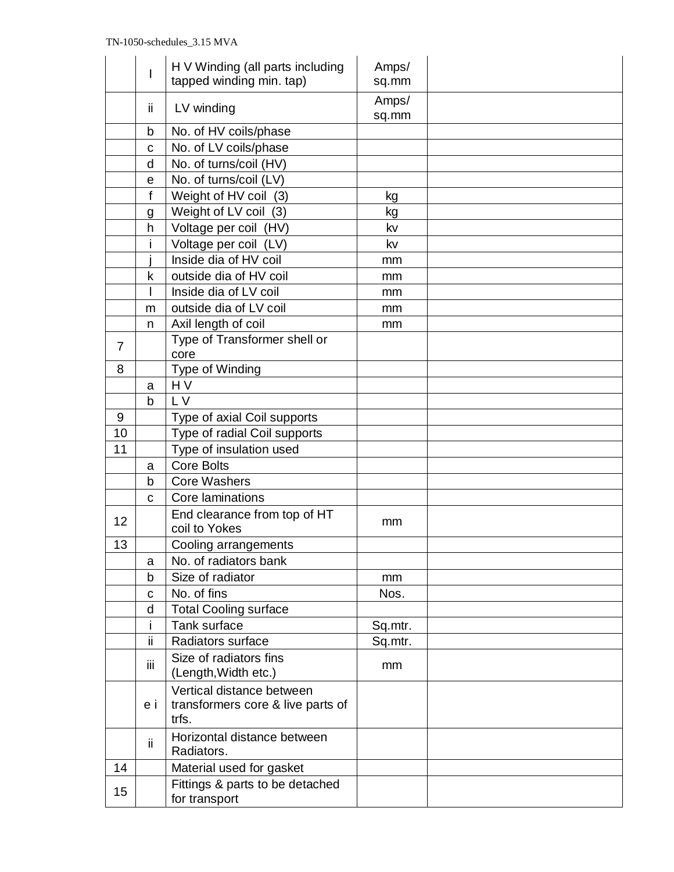|                | H V Winding (all parts including<br>I<br>tapped winding min. tap) |                                                                         | Amps/<br>sq.mm |  |
|----------------|-------------------------------------------------------------------|-------------------------------------------------------------------------|----------------|--|
|                | ii.                                                               | LV winding                                                              | Amps/<br>sq.mm |  |
|                | b                                                                 | No. of HV coils/phase                                                   |                |  |
|                | C                                                                 | No. of LV coils/phase                                                   |                |  |
|                | d                                                                 | No. of turns/coil (HV)                                                  |                |  |
|                | $\mathbf e$                                                       | No. of turns/coil (LV)                                                  |                |  |
|                | f                                                                 | Weight of HV coil (3)                                                   | kg             |  |
|                | g                                                                 | Weight of LV coil (3)                                                   | kg             |  |
|                | h                                                                 | Voltage per coil (HV)                                                   | kv             |  |
|                | İ                                                                 | Voltage per coil (LV)                                                   | kv             |  |
|                |                                                                   | Inside dia of HV coil                                                   | mm             |  |
|                | k                                                                 | outside dia of HV coil                                                  | mm             |  |
|                | T                                                                 | Inside dia of LV coil                                                   | mm             |  |
|                | m                                                                 | outside dia of LV coil                                                  | mm             |  |
|                | n.                                                                | Axil length of coil                                                     | mm             |  |
| $\overline{7}$ |                                                                   | Type of Transformer shell or                                            |                |  |
|                |                                                                   | core                                                                    |                |  |
| 8              |                                                                   | Type of Winding                                                         |                |  |
|                | a                                                                 | HV                                                                      |                |  |
|                | $\mathsf{b}$                                                      | L V                                                                     |                |  |
| 9              |                                                                   | Type of axial Coil supports                                             |                |  |
| 10             |                                                                   | Type of radial Coil supports                                            |                |  |
| 11             |                                                                   | Type of insulation used                                                 |                |  |
|                | a                                                                 | <b>Core Bolts</b>                                                       |                |  |
|                | b                                                                 | <b>Core Washers</b>                                                     |                |  |
|                | C                                                                 | Core laminations                                                        |                |  |
| 12             |                                                                   | End clearance from top of HT<br>coil to Yokes                           | mm             |  |
| 13             |                                                                   | Cooling arrangements                                                    |                |  |
|                | a                                                                 | No. of radiators bank                                                   |                |  |
|                | b                                                                 | Size of radiator                                                        | mm             |  |
|                | C                                                                 | No. of fins                                                             | Nos.           |  |
|                | d                                                                 | <b>Total Cooling surface</b>                                            |                |  |
|                |                                                                   | Tank surface                                                            | Sq.mtr.        |  |
|                | ii.                                                               | Radiators surface                                                       | Sq.mtr.        |  |
|                | Ϊİ                                                                | Size of radiators fins<br>(Length, Width etc.)                          | mm             |  |
|                | e i                                                               | Vertical distance between<br>transformers core & live parts of<br>trfs. |                |  |
|                | ii.                                                               | Horizontal distance between<br>Radiators.                               |                |  |
| 14             |                                                                   | Material used for gasket                                                |                |  |
| 15             |                                                                   | Fittings & parts to be detached<br>for transport                        |                |  |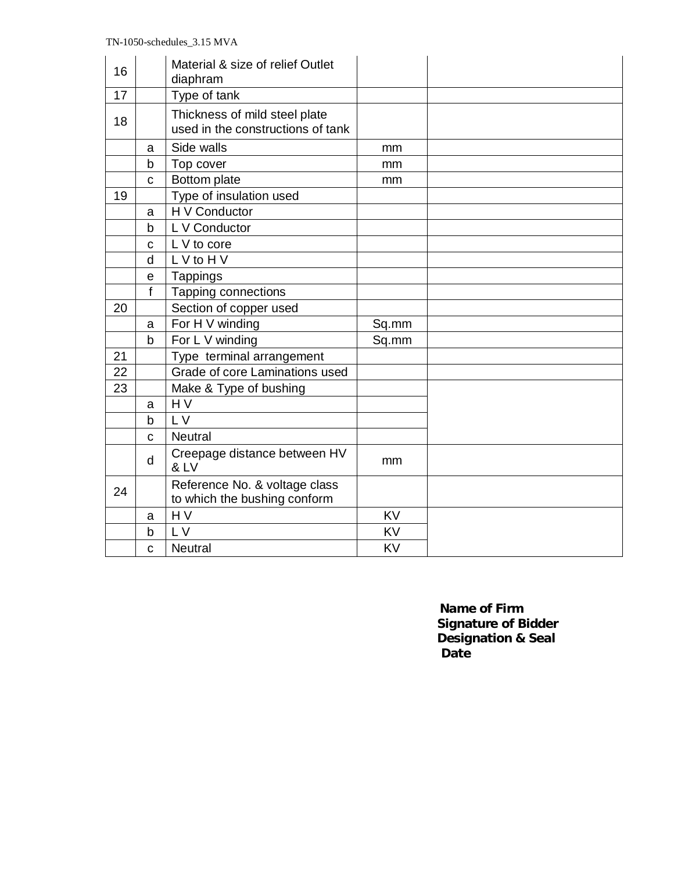| 16 |              | Material & size of relief Outlet<br>diaphram                       |           |  |
|----|--------------|--------------------------------------------------------------------|-----------|--|
| 17 |              | Type of tank                                                       |           |  |
| 18 |              | Thickness of mild steel plate<br>used in the constructions of tank |           |  |
|    | a            | Side walls                                                         | mm        |  |
|    | b            | Top cover                                                          | mm        |  |
|    | $\mathbf{C}$ | Bottom plate                                                       | mm        |  |
| 19 |              | Type of insulation used                                            |           |  |
|    | a            | H V Conductor                                                      |           |  |
|    | b            | L V Conductor                                                      |           |  |
|    | C            | L V to core                                                        |           |  |
|    | d            | L V to H V                                                         |           |  |
|    | $\mathsf{e}$ | <b>Tappings</b>                                                    |           |  |
|    | f            | Tapping connections                                                |           |  |
| 20 |              | Section of copper used                                             |           |  |
|    | a            | For H V winding                                                    | Sq.mm     |  |
|    | b            | For L V winding                                                    | Sq.mm     |  |
| 21 |              | Type terminal arrangement                                          |           |  |
| 22 |              | Grade of core Laminations used                                     |           |  |
| 23 |              | Make & Type of bushing                                             |           |  |
|    | a            | H <sub>V</sub>                                                     |           |  |
|    | b            | L V                                                                |           |  |
|    | $\mathbf C$  | <b>Neutral</b>                                                     |           |  |
|    | d            | Creepage distance between HV<br><b>&amp; LV</b>                    | mm        |  |
| 24 |              | Reference No. & voltage class<br>to which the bushing conform      |           |  |
|    | a            | $H\overline{V}$                                                    | <b>KV</b> |  |
|    | b            | L V                                                                | <b>KV</b> |  |
|    | C            | <b>Neutral</b>                                                     | KV        |  |

 **Name of Firm Signature of Bidder Designation & Seal Date Date Date**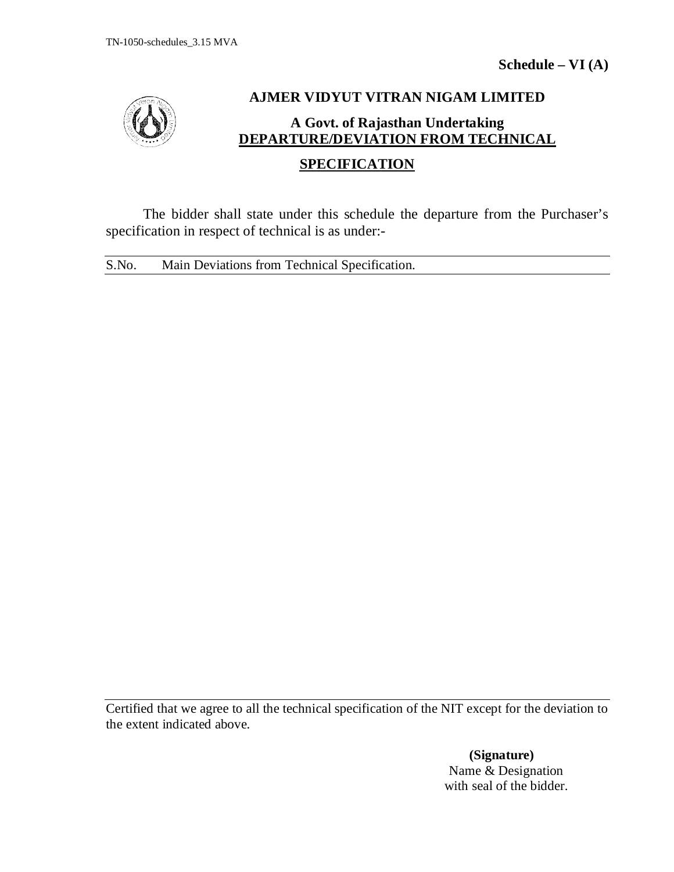

## **AJMER VIDYUT VITRAN NIGAM LIMITED A Govt. of Rajasthan Undertaking DEPARTURE/DEVIATION FROM TECHNICAL**

## **SPECIFICATION**

The bidder shall state under this schedule the departure from the Purchaser's specification in respect of technical is as under:-

S.No. Main Deviations from Technical Specification.

Certified that we agree to all the technical specification of the NIT except for the deviation to the extent indicated above.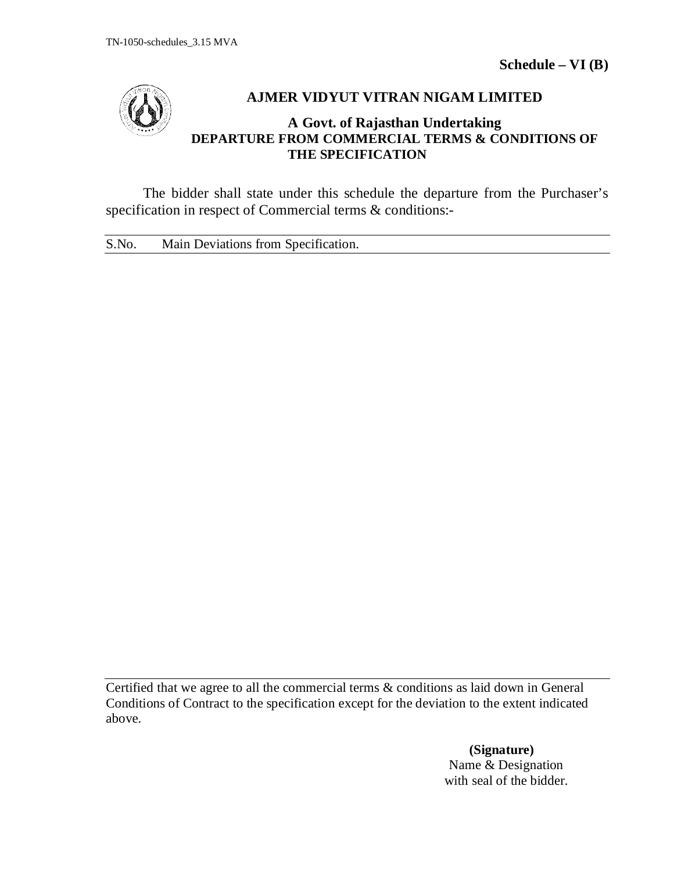

## **AJMER VIDYUT VITRAN NIGAM LIMITED**

## **A Govt. of Rajasthan Undertaking DEPARTURE FROM COMMERCIAL TERMS & CONDITIONS OF THE SPECIFICATION**

The bidder shall state under this schedule the departure from the Purchaser's specification in respect of Commercial terms & conditions:-

S.No. Main Deviations from Specification.

Certified that we agree to all the commercial terms & conditions as laid down in General Conditions of Contract to the specification except for the deviation to the extent indicated above.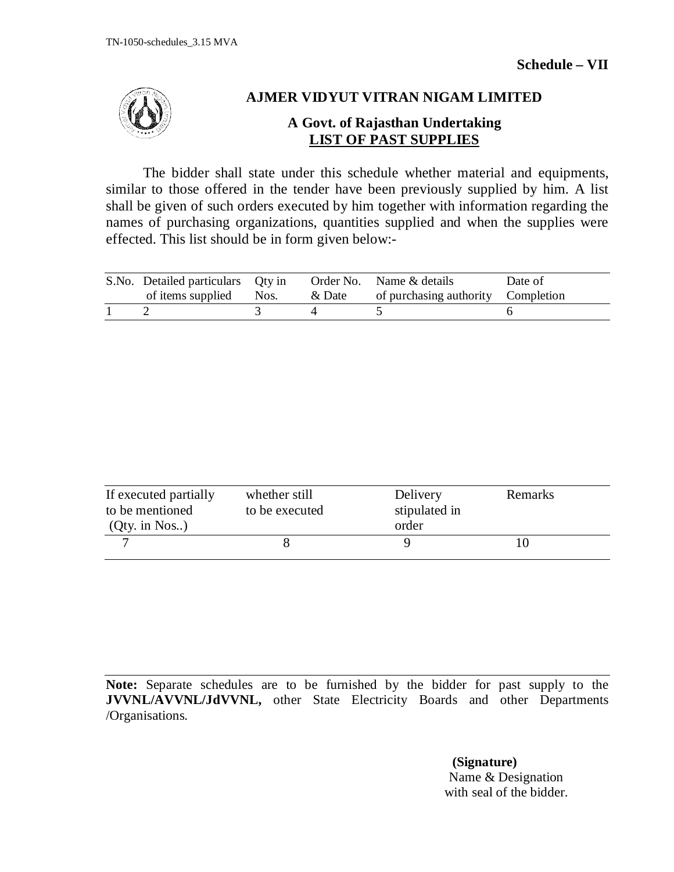

## **AJMER VIDYUT VITRAN NIGAM LIMITED**

## **A Govt. of Rajasthan Undertaking LIST OF PAST SUPPLIES**

The bidder shall state under this schedule whether material and equipments, similar to those offered in the tender have been previously supplied by him. A list shall be given of such orders executed by him together with information regarding the names of purchasing organizations, quantities supplied and when the supplies were effected. This list should be in form given below:-

| S.No. Detailed particulars Qty in |  | Order No. Name & details                  | Date of |
|-----------------------------------|--|-------------------------------------------|---------|
| of items supplied Nos.            |  | & Date of purchasing authority Completion |         |
|                                   |  |                                           |         |

| If executed partially<br>to be mentioned<br>$(Qty.$ in Nos) | whether still<br>to be executed | Delivery<br>stipulated in<br>order | Remarks |  |
|-------------------------------------------------------------|---------------------------------|------------------------------------|---------|--|
|                                                             |                                 |                                    |         |  |

**Note:** Separate schedules are to be furnished by the bidder for past supply to the **JVVNL/AVVNL/JdVVNL,** other State Electricity Boards and other Departments /Organisations.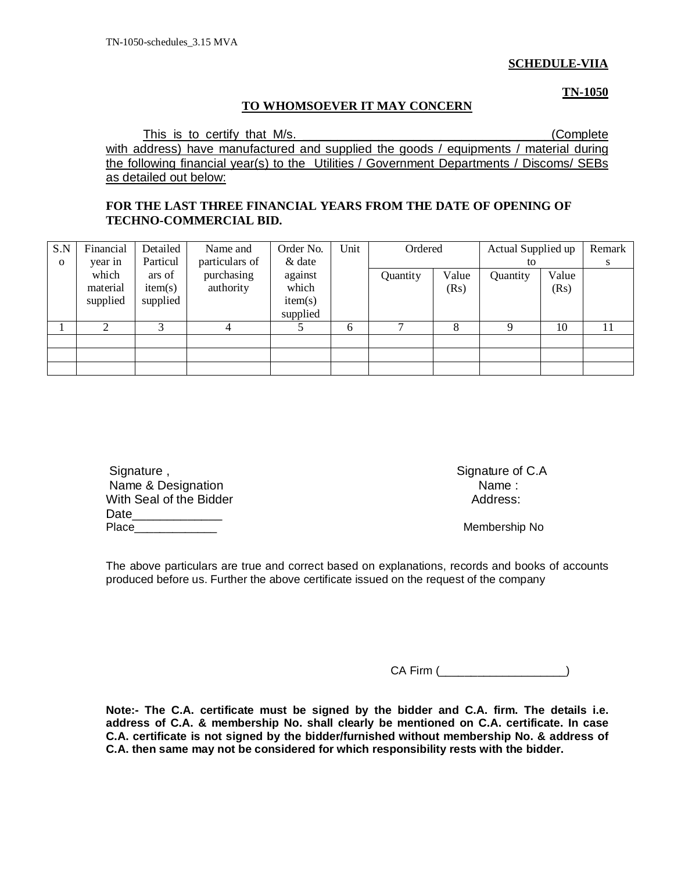### **SCHEDULE-VIIA**

**TN-1050**

### **TO WHOMSOEVER IT MAY CONCERN**

This is to certify that M/s. This is to certify that M/s. with address) have manufactured and supplied the goods / equipments / material during the following financial year(s) to the Utilities / Government Departments / Discoms/ SEBs as detailed out below:

### **FOR THE LAST THREE FINANCIAL YEARS FROM THE DATE OF OPENING OF TECHNO-COMMERCIAL BID.**

| S.N         | Financial | Detailed | Name and       | Order No. | Unit | Ordered      |       | Actual Supplied up |       | Remark |
|-------------|-----------|----------|----------------|-----------|------|--------------|-------|--------------------|-------|--------|
| $\mathbf 0$ | year in   | Particul | particulars of | & date    |      |              |       | to                 |       | S      |
|             | which     | ars of   | purchasing     | against   |      | Quantity     | Value | Quantity           | Value |        |
|             | material  | item(s)  | authority      | which     |      |              | (Rs)  |                    | (Rs)  |        |
|             | supplied  | supplied |                | item(s)   |      |              |       |                    |       |        |
|             |           |          |                | supplied  |      |              |       |                    |       |        |
|             | ◠         | 3        | $\overline{4}$ |           | 6    | $\mathbf{r}$ | 8     |                    | 10    | 11     |
|             |           |          |                |           |      |              |       |                    |       |        |
|             |           |          |                |           |      |              |       |                    |       |        |
|             |           |          |                |           |      |              |       |                    |       |        |

| Signature,              | Signature of |
|-------------------------|--------------|
| Name & Designation      | Name :       |
| With Seal of the Bidder | Address:     |
| Date                    |              |
| Place                   | Membership   |

Signature of C.A

Membership No

The above particulars are true and correct based on explanations, records and books of accounts produced before us. Further the above certificate issued on the request of the company

CA Firm (\_\_\_\_\_\_\_\_\_\_\_\_\_\_\_\_\_\_\_\_)

**Note:- The C.A. certificate must be signed by the bidder and C.A. firm. The details i.e. address of C.A. & membership No. shall clearly be mentioned on C.A. certificate. In case C.A. certificate is not signed by the bidder/furnished without membership No. & address of C.A. then same may not be considered for which responsibility rests with the bidder.**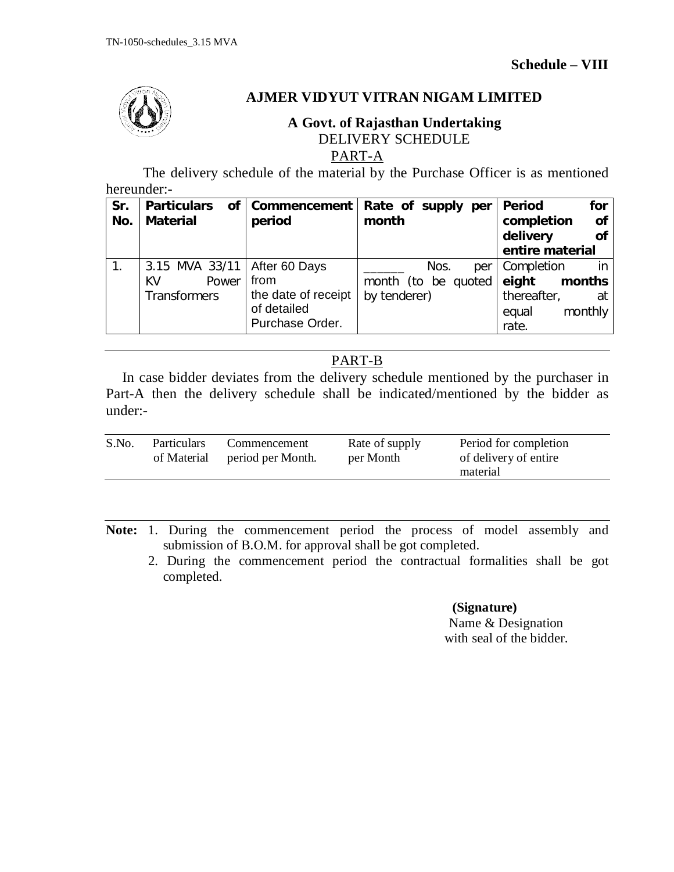

## **AJMER VIDYUT VITRAN NIGAM LIMITED**

## **A Govt. of Rajasthan Undertaking** DELIVERY SCHEDULE

PART-A

The delivery schedule of the material by the Purchase Officer is as mentioned hereunder:-

| Sr.<br>No. | <b>Particulars</b><br><b>Material</b> | of   Commencement<br>period | Rate of supply per<br>month | <b>Period</b><br>for<br>of<br>completion<br>delivery<br><b>of</b> |
|------------|---------------------------------------|-----------------------------|-----------------------------|-------------------------------------------------------------------|
|            |                                       |                             |                             | entire material                                                   |
|            | 3.15 MVA 33/11                        | After 60 Days               | Nos.<br>per                 | Completion<br>in                                                  |
|            | KV<br>Power                           | from                        | month (to be quoted         | eight<br>months                                                   |
|            | <b>Transformers</b>                   | the date of receipt         | by tenderer)                | thereafter,<br>at                                                 |
|            |                                       | of detailed                 |                             | monthly<br>equal                                                  |
|            |                                       | Purchase Order.             |                             | rate.                                                             |

## PART-B

In case bidder deviates from the delivery schedule mentioned by the purchaser in Part-A then the delivery schedule shall be indicated/mentioned by the bidder as under:-

| S.No.<br>Rate of supply<br><b>Particulars</b><br>Commencement<br>of Material period per Month.<br>per Month | Period for completion<br>of delivery of entire<br>material |
|-------------------------------------------------------------------------------------------------------------|------------------------------------------------------------|
|-------------------------------------------------------------------------------------------------------------|------------------------------------------------------------|

**Note:** 1. During the commencement period the process of model assembly and submission of B.O.M. for approval shall be got completed.

 2. During the commencement period the contractual formalities shall be got completed.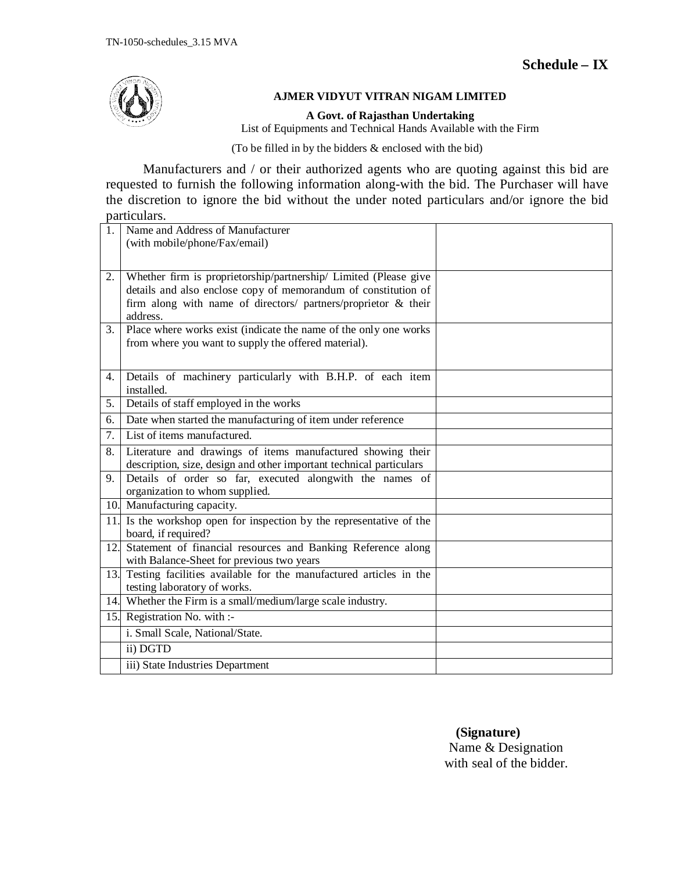

### **AJMER VIDYUT VITRAN NIGAM LIMITED**

**A Govt. of Rajasthan Undertaking**

List of Equipments and Technical Hands Available with the Firm

(To be filled in by the bidders & enclosed with the bid)

Manufacturers and / or their authorized agents who are quoting against this bid are requested to furnish the following information along-with the bid. The Purchaser will have the discretion to ignore the bid without the under noted particulars and/or ignore the bid particulars.

| 1.  | Name and Address of Manufacturer                                                                                                   |  |
|-----|------------------------------------------------------------------------------------------------------------------------------------|--|
|     | (with mobile/phone/Fax/email)                                                                                                      |  |
|     |                                                                                                                                    |  |
| 2.  | Whether firm is proprietorship/partnership/ Limited (Please give                                                                   |  |
|     | details and also enclose copy of memorandum of constitution of                                                                     |  |
|     | firm along with name of directors/ partners/proprietor & their                                                                     |  |
|     | address.                                                                                                                           |  |
| 3.  | Place where works exist (indicate the name of the only one works                                                                   |  |
|     | from where you want to supply the offered material).                                                                               |  |
|     |                                                                                                                                    |  |
| 4.  | Details of machinery particularly with B.H.P. of each item<br>installed.                                                           |  |
| 5.  | Details of staff employed in the works                                                                                             |  |
| 6.  | Date when started the manufacturing of item under reference                                                                        |  |
| 7.  | List of items manufactured.                                                                                                        |  |
| 8.  | Literature and drawings of items manufactured showing their<br>description, size, design and other important technical particulars |  |
| 9.  | Details of order so far, executed alongwith the names of                                                                           |  |
|     | organization to whom supplied.                                                                                                     |  |
|     | 10. Manufacturing capacity.                                                                                                        |  |
| 11. | Is the workshop open for inspection by the representative of the<br>board, if required?                                            |  |
| 12. | Statement of financial resources and Banking Reference along                                                                       |  |
|     | with Balance-Sheet for previous two years                                                                                          |  |
| 13. | Testing facilities available for the manufactured articles in the                                                                  |  |
|     | testing laboratory of works.                                                                                                       |  |
|     | 14. Whether the Firm is a small/medium/large scale industry.                                                                       |  |
|     | 15. Registration No. with :-                                                                                                       |  |
|     | i. Small Scale, National/State.                                                                                                    |  |
|     | ii) DGTD                                                                                                                           |  |
|     | iii) State Industries Department                                                                                                   |  |